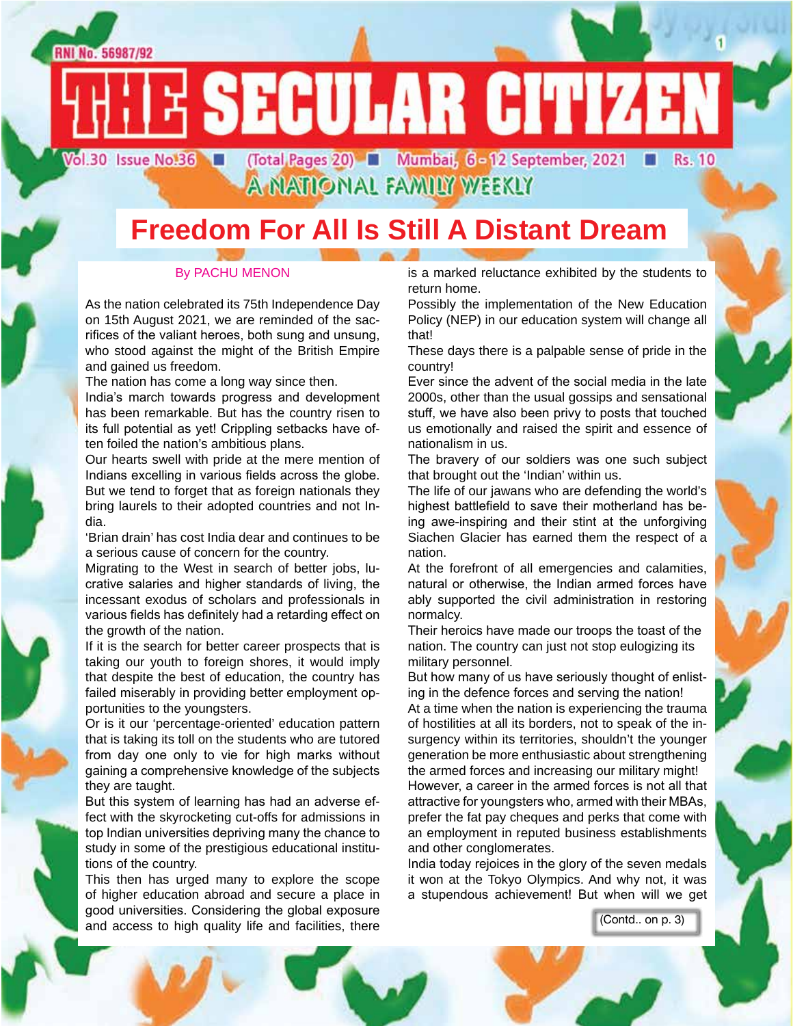

## **Freedom For All Is Still A Distant Dream**

#### By PACHU MENON

As the nation celebrated its 75th Independence Day on 15th August 2021, we are reminded of the sacrifices of the valiant heroes, both sung and unsung, who stood against the might of the British Empire and gained us freedom.

The nation has come a long way since then.

India's march towards progress and development has been remarkable. But has the country risen to its full potential as yet! Crippling setbacks have often foiled the nation's ambitious plans.

Our hearts swell with pride at the mere mention of Indians excelling in various fields across the globe. But we tend to forget that as foreign nationals they bring laurels to their adopted countries and not India.

'Brian drain' has cost India dear and continues to be a serious cause of concern for the country.

Migrating to the West in search of better jobs, lucrative salaries and higher standards of living, the incessant exodus of scholars and professionals in various fields has definitely had a retarding effect on the growth of the nation.

If it is the search for better career prospects that is taking our youth to foreign shores, it would imply that despite the best of education, the country has failed miserably in providing better employment opportunities to the youngsters.

Or is it our 'percentage-oriented' education pattern that is taking its toll on the students who are tutored from day one only to vie for high marks without gaining a comprehensive knowledge of the subjects they are taught.

But this system of learning has had an adverse effect with the skyrocketing cut-offs for admissions in top Indian universities depriving many the chance to study in some of the prestigious educational institutions of the country.

This then has urged many to explore the scope of higher education abroad and secure a place in good universities. Considering the global exposure and access to high quality life and facilities, there

is a marked reluctance exhibited by the students to return home.

Possibly the implementation of the New Education Policy (NEP) in our education system will change all that!

These days there is a palpable sense of pride in the country!

Ever since the advent of the social media in the late 2000s, other than the usual gossips and sensational stuff, we have also been privy to posts that touched us emotionally and raised the spirit and essence of nationalism in us.

The bravery of our soldiers was one such subject that brought out the 'Indian' within us.

The life of our jawans who are defending the world's highest battlefield to save their motherland has being awe-inspiring and their stint at the unforgiving Siachen Glacier has earned them the respect of a nation.

At the forefront of all emergencies and calamities, natural or otherwise, the Indian armed forces have ably supported the civil administration in restoring normalcy.

Their heroics have made our troops the toast of the nation. The country can just not stop eulogizing its military personnel.

But how many of us have seriously thought of enlisting in the defence forces and serving the nation!

At a time when the nation is experiencing the trauma of hostilities at all its borders, not to speak of the insurgency within its territories, shouldn't the younger generation be more enthusiastic about strengthening the armed forces and increasing our military might! However, a career in the armed forces is not all that attractive for youngsters who, armed with their MBAs, prefer the fat pay cheques and perks that come with an employment in reputed business establishments and other conglomerates.

India today rejoices in the glory of the seven medals it won at the Tokyo Olympics. And why not, it was a stupendous achievement! But when will we get

(Contd.. on p. 3)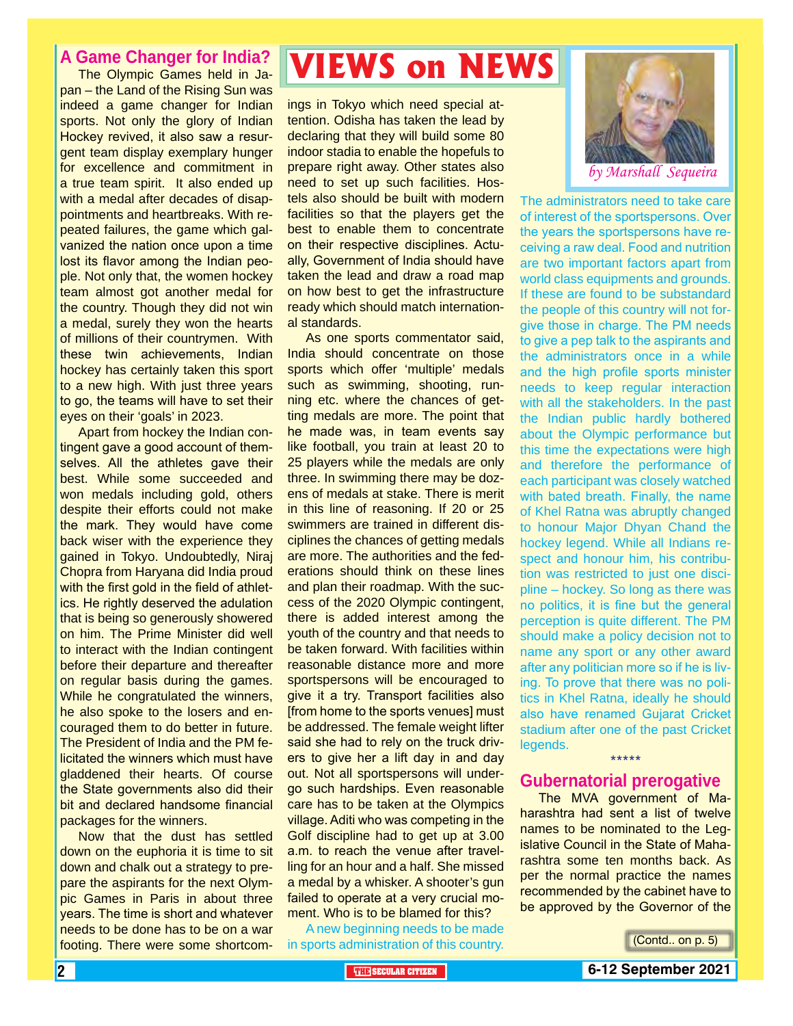#### **A Game Changer for India?**

The Olympic Games held in Japan – the Land of the Rising Sun was indeed a game changer for Indian sports. Not only the glory of Indian Hockey revived, it also saw a resurgent team display exemplary hunger for excellence and commitment in a true team spirit. It also ended up with a medal after decades of disappointments and heartbreaks. With repeated failures, the game which galvanized the nation once upon a time lost its flavor among the Indian people. Not only that, the women hockey team almost got another medal for the country. Though they did not win a medal, surely they won the hearts of millions of their countrymen. With these twin achievements, Indian hockey has certainly taken this sport to a new high. With just three years to go, the teams will have to set their eyes on their 'goals' in 2023.

Apart from hockey the Indian contingent gave a good account of themselves. All the athletes gave their best. While some succeeded and won medals including gold, others despite their efforts could not make the mark. They would have come back wiser with the experience they gained in Tokyo. Undoubtedly, Niraj Chopra from Haryana did India proud with the first gold in the field of athletics. He rightly deserved the adulation that is being so generously showered on him. The Prime Minister did well to interact with the Indian contingent before their departure and thereafter on regular basis during the games. While he congratulated the winners, he also spoke to the losers and encouraged them to do better in future. The President of India and the PM felicitated the winners which must have gladdened their hearts. Of course the State governments also did their bit and declared handsome financial packages for the winners.

Now that the dust has settled down on the euphoria it is time to sit down and chalk out a strategy to prepare the aspirants for the next Olympic Games in Paris in about three years. The time is short and whatever needs to be done has to be on a war footing. There were some shortcom-

# **VIEWS on NEWS**

ings in Tokyo which need special attention. Odisha has taken the lead by declaring that they will build some 80 indoor stadia to enable the hopefuls to prepare right away. Other states also need to set up such facilities. Hostels also should be built with modern facilities so that the players get the best to enable them to concentrate on their respective disciplines. Actually, Government of India should have taken the lead and draw a road map on how best to get the infrastructure ready which should match international standards.

As one sports commentator said, India should concentrate on those sports which offer 'multiple' medals such as swimming, shooting, running etc. where the chances of getting medals are more. The point that he made was, in team events say like football, you train at least 20 to 25 players while the medals are only three. In swimming there may be dozens of medals at stake. There is merit in this line of reasoning. If 20 or 25 swimmers are trained in different disciplines the chances of getting medals are more. The authorities and the federations should think on these lines and plan their roadmap. With the success of the 2020 Olympic contingent, there is added interest among the youth of the country and that needs to be taken forward. With facilities within reasonable distance more and more sportspersons will be encouraged to give it a try. Transport facilities also [from home to the sports venues] must be addressed. The female weight lifter said she had to rely on the truck drivers to give her a lift day in and day out. Not all sportspersons will undergo such hardships. Even reasonable care has to be taken at the Olympics village. Aditi who was competing in the Golf discipline had to get up at 3.00 a.m. to reach the venue after travelling for an hour and a half. She missed a medal by a whisker. A shooter's gun failed to operate at a very crucial moment. Who is to be blamed for this?

A new beginning needs to be made in sports administration of this country.



The administrators need to take care of interest of the sportspersons. Over the years the sportspersons have receiving a raw deal. Food and nutrition are two important factors apart from world class equipments and grounds. If these are found to be substandard the people of this country will not forgive those in charge. The PM needs to give a pep talk to the aspirants and the administrators once in a while and the high profile sports minister needs to keep regular interaction with all the stakeholders. In the past the Indian public hardly bothered about the Olympic performance but this time the expectations were high and therefore the performance of each participant was closely watched with bated breath. Finally, the name of Khel Ratna was abruptly changed to honour Major Dhyan Chand the hockey legend. While all Indians respect and honour him, his contribution was restricted to just one discipline – hockey. So long as there was no politics, it is fine but the general perception is quite different. The PM should make a policy decision not to name any sport or any other award after any politician more so if he is living. To prove that there was no politics in Khel Ratna, ideally he should also have renamed Gujarat Cricket stadium after one of the past Cricket legends.

#### **Gubernatorial prerogative**

\*\*\*\*\*

The MVA government of Maharashtra had sent a list of twelve names to be nominated to the Legislative Council in the State of Maharashtra some ten months back. As per the normal practice the names recommended by the cabinet have to be approved by the Governor of the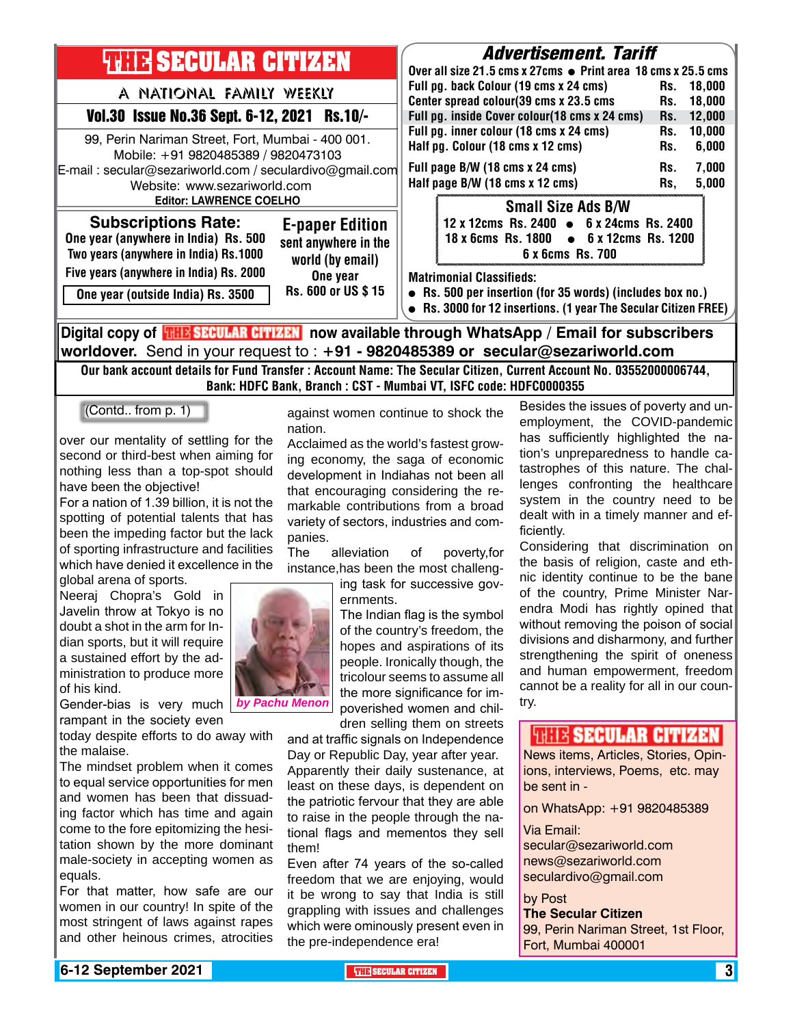

Our bank account details for Fund Transfer : Account Name: The Secular Citizen, Current Account No. 03552000006744, Bank: HDFC Bank, Branch : CST - Mumbai VT, ISFC code: HDFC0000355

(Contd.. from p. 1)

over our mentality of settling for the second or third-best when aiming for nothing less than a top-spot should have been the objective!

For a nation of 1.39 billion, it is not the spotting of potential talents that has been the impeding factor but the lack of sporting infrastructure and facilities which have denied it excellence in the global arena of sports.

Neeraj Chopra's Gold in Javelin throw at Tokyo is no doubt a shot in the arm for Indian sports, but it will require a sustained effort by the administration to produce more of his kind.

Gender-bias is very much by Pachu Menon rampant in the society even

today despite efforts to do away with the malaise.

The mindset problem when it comes to equal service opportunities for men and women has been that dissuading factor which has time and again come to the fore epitomizing the hesitation shown by the more dominant male-society in accepting women as equals.

For that matter, how safe are our women in our country! In spite of the most stringent of laws against rapes and other heinous crimes, atrocities against women continue to shock the nation.

Acclaimed as the world's fastest growing economy, the saga of economic development in Indiahas not been all that encouraging considering the remarkable contributions from a broad variety of sectors, industries and companies.

The alleviation of poverty,for instance,has been the most challeng-

> ing task for successive governments.

The Indian flag is the symbol of the country's freedom, the hopes and aspirations of its people. Ironically though, the tricolour seems to assume all the more significance for imby Pachu Menon poverished women and chil-<br>poverished women and children selling them on streets

and at traffic signals on Independence Day or Republic Day, year after year. Apparently their daily sustenance, at least on these days, is dependent on the patriotic fervour that they are able to raise in the people through the national flags and mementos they sell them!

Even after 74 years of the so-called freedom that we are enjoying, would it be wrong to say that India is still grappling with issues and challenges which were ominously present even in the pre-independence era!

Besides the issues of poverty and unemployment, the COVID-pandemic has sufficiently highlighted the nation's unpreparedness to handle catastrophes of this nature. The challenges confronting the healthcare system in the country need to be dealt with in a timely manner and efficiently.

Considering that discrimination on the basis of religion, caste and ethnic identity continue to be the bane of the country, Prime Minister Narendra Modi has rightly opined that without removing the poison of social divisions and disharmony, and further strengthening the spirit of oneness and human empowerment, freedom cannot be a reality for all in our coun-

#### **FULLE SECULAR CITIZEN**

News items, Articles, Stories, Opinions, interviews, Poems, etc. may be sent in -

on WhatsApp: +91 9820485389

Via Email:

secular@sezariworld.com news@sezariworld.com seculardivo@gmail.com

by Post **The Secular Citizen**

99, Perin Nariman Street, 1st Floor, Fort, Mumbai 400001

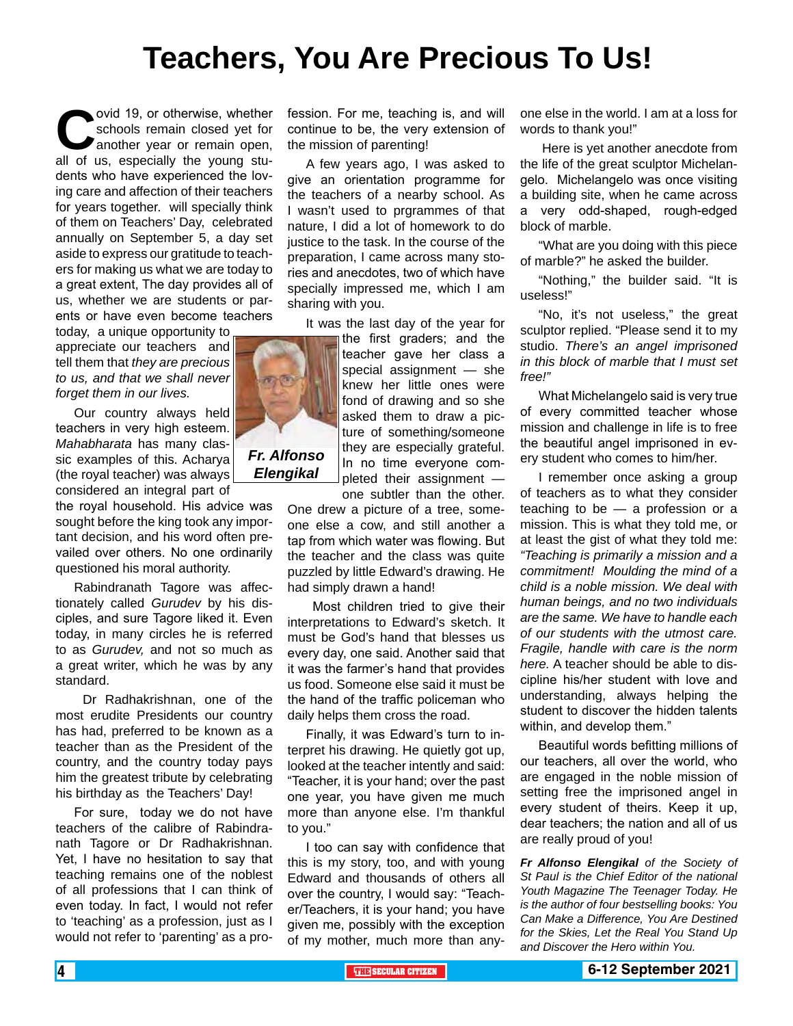# **Teachers, You Are Precious To Us!**

ovid 19, or otherwise, whether<br>schools remain closed yet for<br>another year or remain open,<br>all of us. especially the young stuschools remain closed yet for another year or remain open, all of us, especially the young students who have experienced the loving care and affection of their teachers for years together. will specially think of them on Teachers' Day, celebrated annually on September 5, a day set aside to express our gratitude to teachers for making us what we are today to a great extent, The day provides all of us, whether we are students or parents or have even become teachers

today, a unique opportunity to appreciate our teachers and tell them that *they are precious to us, and that we shall never forget them in our lives.*

Our country always held teachers in very high esteem. *Mahabharata* has many classic examples of this. Acharya (the royal teacher) was always considered an integral part of

the royal household. His advice was sought before the king took any important decision, and his word often prevailed over others. No one ordinarily questioned his moral authority.

Rabindranath Tagore was affectionately called *Gurudev* by his disciples, and sure Tagore liked it. Even today, in many circles he is referred to as *Gurudev,* and not so much as a great writer, which he was by any standard.

 Dr Radhakrishnan, one of the most erudite Presidents our country has had, preferred to be known as a teacher than as the President of the country, and the country today pays him the greatest tribute by celebrating his birthday as the Teachers' Day!

For sure, today we do not have teachers of the calibre of Rabindranath Tagore or Dr Radhakrishnan. Yet, I have no hesitation to say that teaching remains one of the noblest of all professions that I can think of even today. In fact, I would not refer to 'teaching' as a profession, just as I would not refer to 'parenting' as a profession. For me, teaching is, and will continue to be, the very extension of the mission of parenting!

A few years ago, I was asked to give an orientation programme for the teachers of a nearby school. As I wasn't used to prgrammes of that nature, I did a lot of homework to do justice to the task. In the course of the preparation, I came across many stories and anecdotes, two of which have specially impressed me, which I am sharing with you.

It was the last day of the year for

the first graders; and the teacher gave her class a special assignment — she knew her little ones were fond of drawing and so she asked them to draw a picture of something/someone they are especially grateful. In no time everyone completed their assignment —

one subtler than the other. One drew a picture of a tree, someone else a cow, and still another a tap from which water was flowing. But the teacher and the class was quite puzzled by little Edward's drawing. He had simply drawn a hand!

 Most children tried to give their interpretations to Edward's sketch. It must be God's hand that blesses us every day, one said. Another said that it was the farmer's hand that provides us food. Someone else said it must be the hand of the traffic policeman who daily helps them cross the road.

Finally, it was Edward's turn to interpret his drawing. He quietly got up, looked at the teacher intently and said: "Teacher, it is your hand; over the past one year, you have given me much more than anyone else. I'm thankful to you."

I too can say with confidence that this is my story, too, and with young Edward and thousands of others all over the country, I would say: "Teacher/Teachers, it is your hand; you have given me, possibly with the exception of my mother, much more than anyone else in the world. I am at a loss for words to thank you!"

 Here is yet another anecdote from the life of the great sculptor Michelangelo. Michelangelo was once visiting a building site, when he came across a very odd-shaped, rough-edged block of marble.

"What are you doing with this piece of marble?" he asked the builder.

"Nothing," the builder said. "It is useless!"

"No, it's not useless," the great sculptor replied. "Please send it to my studio. *There's an angel imprisoned in this block of marble that I must set free!"*

What Michelangelo said is very true of every committed teacher whose mission and challenge in life is to free the beautiful angel imprisoned in every student who comes to him/her.

I remember once asking a group of teachers as to what they consider teaching to be — a profession or a mission. This is what they told me, or at least the gist of what they told me: *"Teaching is primarily a mission and a commitment! Moulding the mind of a child is a noble mission. We deal with human beings, and no two individuals are the same. We have to handle each of our students with the utmost care. Fragile, handle with care is the norm here.* A teacher should be able to discipline his/her student with love and understanding, always helping the student to discover the hidden talents within, and develop them."

Beautiful words befitting millions of our teachers, all over the world, who are engaged in the noble mission of setting free the imprisoned angel in every student of theirs. Keep it up, dear teachers; the nation and all of us are really proud of you!

*Fr Alfonso Elengikal of the Society of St Paul is the Chief Editor of the national Youth Magazine The Teenager Today. He is the author of four bestselling books: You Can Make a Difference, You Are Destined for the Skies, Let the Real You Stand Up and Discover the Hero within You.*



*Elengikal*

4 **THE SECULAR CITIZEN 6-12 September 2021**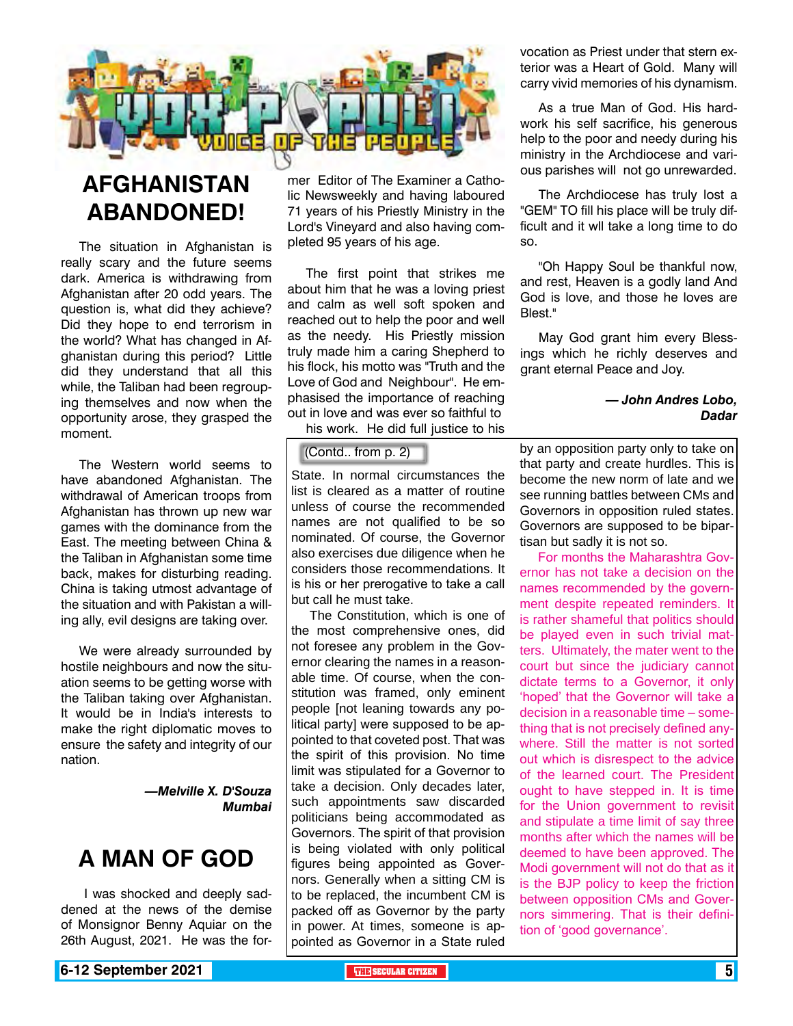

### **AFGHANISTAN ABANDONED!**

The situation in Afghanistan is really scary and the future seems dark. America is withdrawing from Afghanistan after 20 odd years. The question is, what did they achieve? Did they hope to end terrorism in the world? What has changed in Afghanistan during this period? Little did they understand that all this while, the Taliban had been regrouping themselves and now when the opportunity arose, they grasped the moment.

The Western world seems to have abandoned Afghanistan. The withdrawal of American troops from Afghanistan has thrown up new war games with the dominance from the East. The meeting between China & the Taliban in Afghanistan some time back, makes for disturbing reading. China is taking utmost advantage of the situation and with Pakistan a willing ally, evil designs are taking over.

We were already surrounded by hostile neighbours and now the situation seems to be getting worse with the Taliban taking over Afghanistan. It would be in India's interests to make the right diplomatic moves to ensure the safety and integrity of our nation.

> *—Melville X. D'Souza Mumbai*

### **A MAN OF GOD**

 I was shocked and deeply saddened at the news of the demise of Monsignor Benny Aquiar on the 26th August, 2021. He was the former Editor of The Examiner a Catholic Newsweekly and having laboured 71 years of his Priestly Ministry in the Lord's Vineyard and also having completed 95 years of his age.

The first point that strikes me about him that he was a loving priest and calm as well soft spoken and reached out to help the poor and well as the needy. His Priestly mission truly made him a caring Shepherd to his flock, his motto was "Truth and the Love of God and Neighbour". He emphasised the importance of reaching out in love and was ever so faithful to his work. He did full justice to his

#### (Contd.. from p. 2)

State. In normal circumstances the list is cleared as a matter of routine unless of course the recommended names are not qualified to be so nominated. Of course, the Governor also exercises due diligence when he considers those recommendations. It is his or her prerogative to take a call but call he must take.

The Constitution, which is one of the most comprehensive ones, did not foresee any problem in the Governor clearing the names in a reasonable time. Of course, when the constitution was framed, only eminent people [not leaning towards any political party] were supposed to be appointed to that coveted post. That was the spirit of this provision. No time limit was stipulated for a Governor to take a decision. Only decades later, such appointments saw discarded politicians being accommodated as Governors. The spirit of that provision is being violated with only political figures being appointed as Governors. Generally when a sitting CM is to be replaced, the incumbent CM is packed off as Governor by the party in power. At times, someone is appointed as Governor in a State ruled

vocation as Priest under that stern exterior was a Heart of Gold. Many will carry vivid memories of his dynamism.

As a true Man of God. His hardwork his self sacrifice, his generous help to the poor and needy during his ministry in the Archdiocese and various parishes will not go unrewarded.

The Archdiocese has truly lost a "GEM" TO fill his place will be truly difficult and it wll take a long time to do so.

"Oh Happy Soul be thankful now, and rest, Heaven is a godly land And God is love, and those he loves are Blest."

May God grant him every Blessings which he richly deserves and grant eternal Peace and Joy.

#### *— John Andres Lobo, Dadar*

by an opposition party only to take on that party and create hurdles. This is become the new norm of late and we see running battles between CMs and Governors in opposition ruled states. Governors are supposed to be bipartisan but sadly it is not so.

For months the Maharashtra Governor has not take a decision on the names recommended by the government despite repeated reminders. It is rather shameful that politics should be played even in such trivial matters. Ultimately, the mater went to the court but since the judiciary cannot dictate terms to a Governor, it only 'hoped' that the Governor will take a decision in a reasonable time – something that is not precisely defined anywhere. Still the matter is not sorted out which is disrespect to the advice of the learned court. The President ought to have stepped in. It is time for the Union government to revisit and stipulate a time limit of say three months after which the names will be deemed to have been approved. The Modi government will not do that as it is the BJP policy to keep the friction between opposition CMs and Governors simmering. That is their definition of 'good governance'.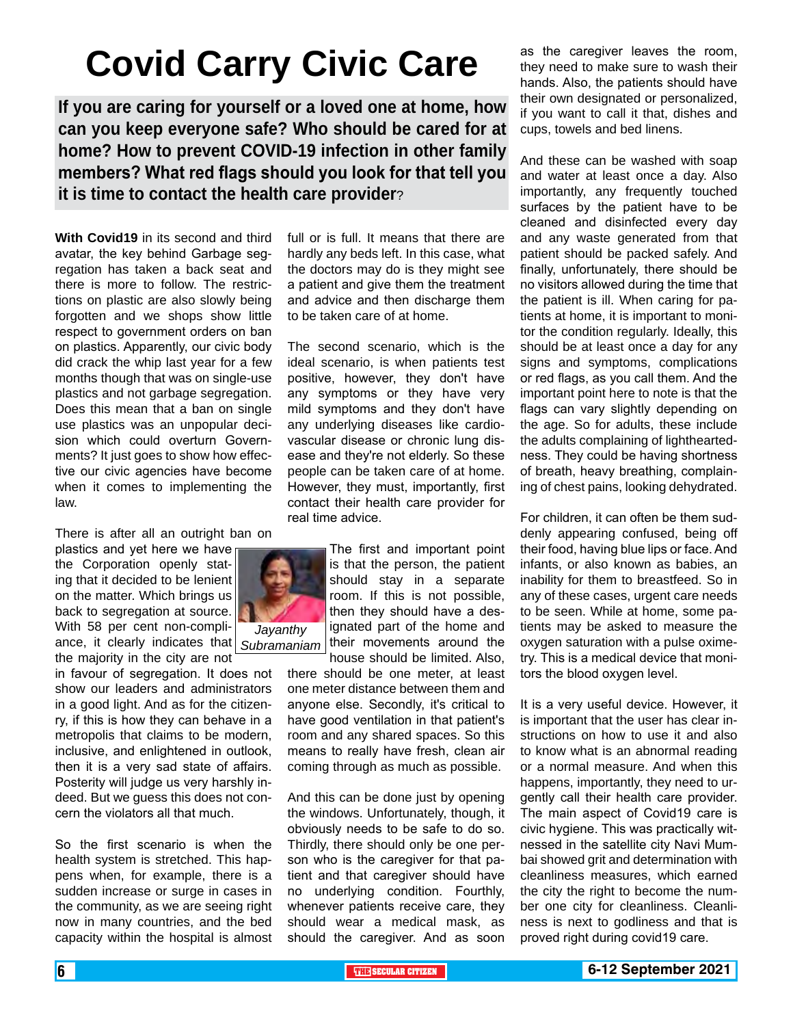# **Covid Carry Civic Care**

**If you are caring for yourself or a loved one at home, how can you keep everyone safe? Who should be cared for at home? How to prevent COVID-19 infection in other family members? What red flags should you look for that tell you it is time to contact the health care provider**?

**With Covid19** in its second and third avatar, the key behind Garbage segregation has taken a back seat and there is more to follow. The restrictions on plastic are also slowly being forgotten and we shops show little respect to government orders on ban on plastics. Apparently, our civic body did crack the whip last year for a few months though that was on single-use plastics and not garbage segregation. Does this mean that a ban on single use plastics was an unpopular decision which could overturn Governments? It just goes to show how effective our civic agencies have become when it comes to implementing the law.

There is after all an outright ban on

plastics and yet here we have the Corporation openly stating that it decided to be lenient on the matter. Which brings us back to segregation at source. With 58 per cent non-compliance, it clearly indicates that *Subramaniam*the majority in the city are not

in favour of segregation. It does not show our leaders and administrators in a good light. And as for the citizenry, if this is how they can behave in a metropolis that claims to be modern, inclusive, and enlightened in outlook, then it is a very sad state of affairs. Posterity will judge us very harshly indeed. But we guess this does not concern the violators all that much.

So the first scenario is when the health system is stretched. This happens when, for example, there is a sudden increase or surge in cases in the community, as we are seeing right now in many countries, and the bed capacity within the hospital is almost full or is full. It means that there are hardly any beds left. In this case, what the doctors may do is they might see a patient and give them the treatment and advice and then discharge them to be taken care of at home.

The second scenario, which is the ideal scenario, is when patients test positive, however, they don't have any symptoms or they have very mild symptoms and they don't have any underlying diseases like cardiovascular disease or chronic lung disease and they're not elderly. So these people can be taken care of at home. However, they must, importantly, first contact their health care provider for real time advice.

> The first and important point is that the person, the patient should stay in a separate room. If this is not possible, then they should have a designated part of the home and their movements around the house should be limited. Also,

there should be one meter, at least one meter distance between them and anyone else. Secondly, it's critical to have good ventilation in that patient's room and any shared spaces. So this means to really have fresh, clean air coming through as much as possible.

And this can be done just by opening the windows. Unfortunately, though, it obviously needs to be safe to do so. Thirdly, there should only be one person who is the caregiver for that patient and that caregiver should have no underlying condition. Fourthly, whenever patients receive care, they should wear a medical mask, as should the caregiver. And as soon

as the caregiver leaves the room, they need to make sure to wash their hands. Also, the patients should have their own designated or personalized, if you want to call it that, dishes and cups, towels and bed linens.

And these can be washed with soap and water at least once a day. Also importantly, any frequently touched surfaces by the patient have to be cleaned and disinfected every day and any waste generated from that patient should be packed safely. And finally, unfortunately, there should be no visitors allowed during the time that the patient is ill. When caring for patients at home, it is important to monitor the condition regularly. Ideally, this should be at least once a day for any signs and symptoms, complications or red flags, as you call them. And the important point here to note is that the flags can vary slightly depending on the age. So for adults, these include the adults complaining of lightheartedness. They could be having shortness of breath, heavy breathing, complaining of chest pains, looking dehydrated.

For children, it can often be them suddenly appearing confused, being off their food, having blue lips or face. And infants, or also known as babies, an inability for them to breastfeed. So in any of these cases, urgent care needs to be seen. While at home, some patients may be asked to measure the oxygen saturation with a pulse oximetry. This is a medical device that monitors the blood oxygen level.

It is a very useful device. However, it is important that the user has clear instructions on how to use it and also to know what is an abnormal reading or a normal measure. And when this happens, importantly, they need to urgently call their health care provider. The main aspect of Covid19 care is civic hygiene. This was practically witnessed in the satellite city Navi Mumbai showed grit and determination with cleanliness measures, which earned the city the right to become the number one city for cleanliness. Cleanliness is next to godliness and that is proved right during covid19 care.

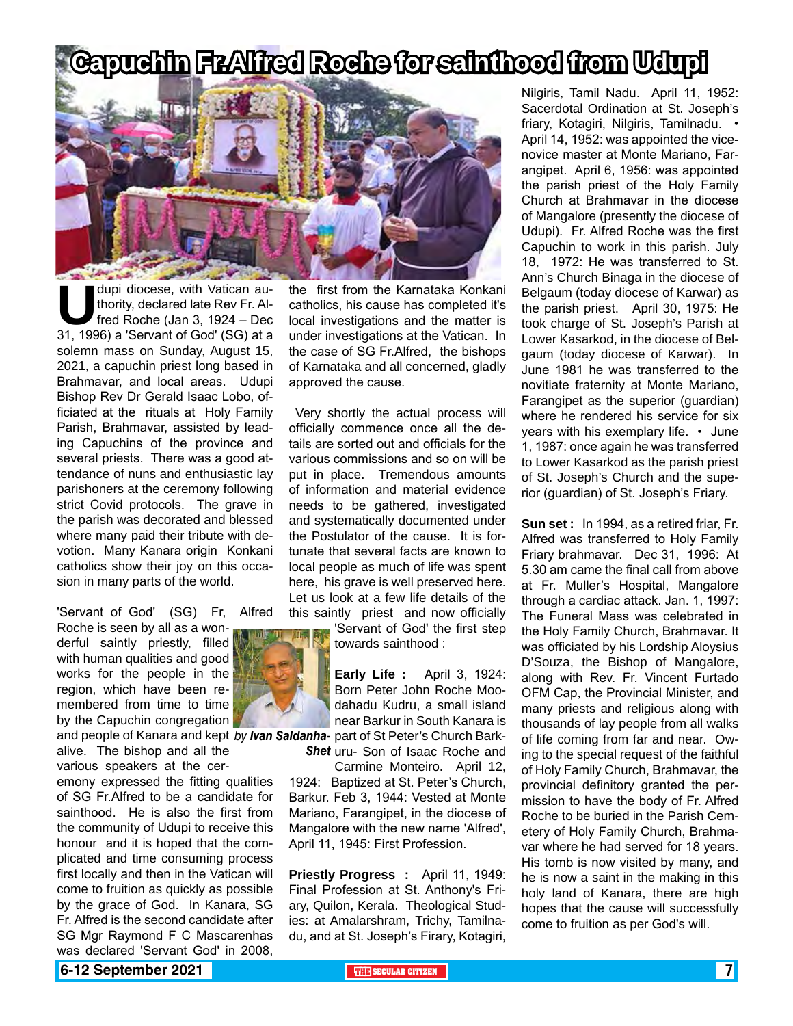# **Capuchin Fr.Alfred Roche for sainthood from Udupi**



dupi diocese, with Vatican au-<br>thority, declared late Rev Fr. Al-<br>fred Roche (Jan 3, 1924 – Dec<br>31, 1996) a 'Servant of God' (SG) at a thority, declared late Rev Fr. Alfred Roche (Jan 3, 1924 – Dec solemn mass on Sunday, August 15, 2021, a capuchin priest long based in Brahmavar, and local areas. Udupi Bishop Rev Dr Gerald Isaac Lobo, officiated at the rituals at Holy Family Parish, Brahmavar, assisted by leading Capuchins of the province and several priests. There was a good attendance of nuns and enthusiastic lay parishoners at the ceremony following strict Covid protocols. The grave in the parish was decorated and blessed where many paid their tribute with devotion. Many Kanara origin Konkani catholics show their joy on this occasion in many parts of the world.

'Servant of God' (SG) Fr, Alfred

Roche is seen by all as a wonderful saintly priestly, filled with human qualities and good works for the people in the region, which have been remembered from time to time by the Capuchin congregation

alive. The bishop and all the various speakers at the cer-

emony expressed the fitting qualities of SG Fr.Alfred to be a candidate for sainthood. He is also the first from the community of Udupi to receive this honour and it is hoped that the complicated and time consuming process first locally and then in the Vatican will come to fruition as quickly as possible by the grace of God. In Kanara, SG Fr. Alfred is the second candidate after SG Mgr Raymond F C Mascarenhas was declared 'Servant God' in 2008,

the first from the Karnataka Konkani catholics, his cause has completed it's local investigations and the matter is under investigations at the Vatican. In the case of SG Fr.Alfred, the bishops of Karnataka and all concerned, gladly approved the cause.

 Very shortly the actual process will officially commence once all the details are sorted out and officials for the various commissions and so on will be put in place. Tremendous amounts of information and material evidence needs to be gathered, investigated and systematically documented under the Postulator of the cause. It is fortunate that several facts are known to local people as much of life was spent here, his grave is well preserved here. Let us look at a few life details of the this saintly priest and now officially

> 'Servant of God' the first step towards sainthood :

and people of Kanara and kept *by Ivan Saldanha- part* of St Peter's Church Bark-**Early Life :** April 3, 1924: Born Peter John Roche Moodahadu Kudru, a small island near Barkur in South Kanara is

**Shet** uru- Son of Isaac Roche and Carmine Monteiro. April 12,

1924: Baptized at St. Peter's Church, Barkur. Feb 3, 1944: Vested at Monte Mariano, Farangipet, in the diocese of Mangalore with the new name 'Alfred', April 11, 1945: First Profession.

**Priestly Progress :** April 11, 1949: Final Profession at St. Anthony's Friary, Quilon, Kerala. Theological Studies: at Amalarshram, Trichy, Tamilnadu, and at St. Joseph's Firary, Kotagiri, Nilgiris, Tamil Nadu. April 11, 1952: Sacerdotal Ordination at St. Joseph's friary, Kotagiri, Nilgiris, Tamilnadu. • April 14, 1952: was appointed the vicenovice master at Monte Mariano, Farangipet. April 6, 1956: was appointed the parish priest of the Holy Family Church at Brahmavar in the diocese of Mangalore (presently the diocese of Udupi). Fr. Alfred Roche was the first Capuchin to work in this parish. July 18, 1972: He was transferred to St. Ann's Church Binaga in the diocese of Belgaum (today diocese of Karwar) as the parish priest. April 30, 1975: He took charge of St. Joseph's Parish at Lower Kasarkod, in the diocese of Belgaum (today diocese of Karwar). In June 1981 he was transferred to the novitiate fraternity at Monte Mariano, Farangipet as the superior (guardian) where he rendered his service for six years with his exemplary life. • June 1, 1987: once again he was transferred to Lower Kasarkod as the parish priest of St. Joseph's Church and the superior (guardian) of St. Joseph's Friary.

**Sun set :** In 1994, as a retired friar, Fr. Alfred was transferred to Holy Family Friary brahmavar. Dec 31, 1996: At 5.30 am came the final call from above at Fr. Muller's Hospital, Mangalore through a cardiac attack. Jan. 1, 1997: The Funeral Mass was celebrated in the Holy Family Church, Brahmavar. It was officiated by his Lordship Aloysius D'Souza, the Bishop of Mangalore, along with Rev. Fr. Vincent Furtado OFM Cap, the Provincial Minister, and many priests and religious along with thousands of lay people from all walks of life coming from far and near. Owing to the special request of the faithful of Holy Family Church, Brahmavar, the provincial definitory granted the permission to have the body of Fr. Alfred Roche to be buried in the Parish Cemetery of Holy Family Church, Brahmavar where he had served for 18 years. His tomb is now visited by many, and he is now a saint in the making in this holy land of Kanara, there are high hopes that the cause will successfully come to fruition as per God's will.

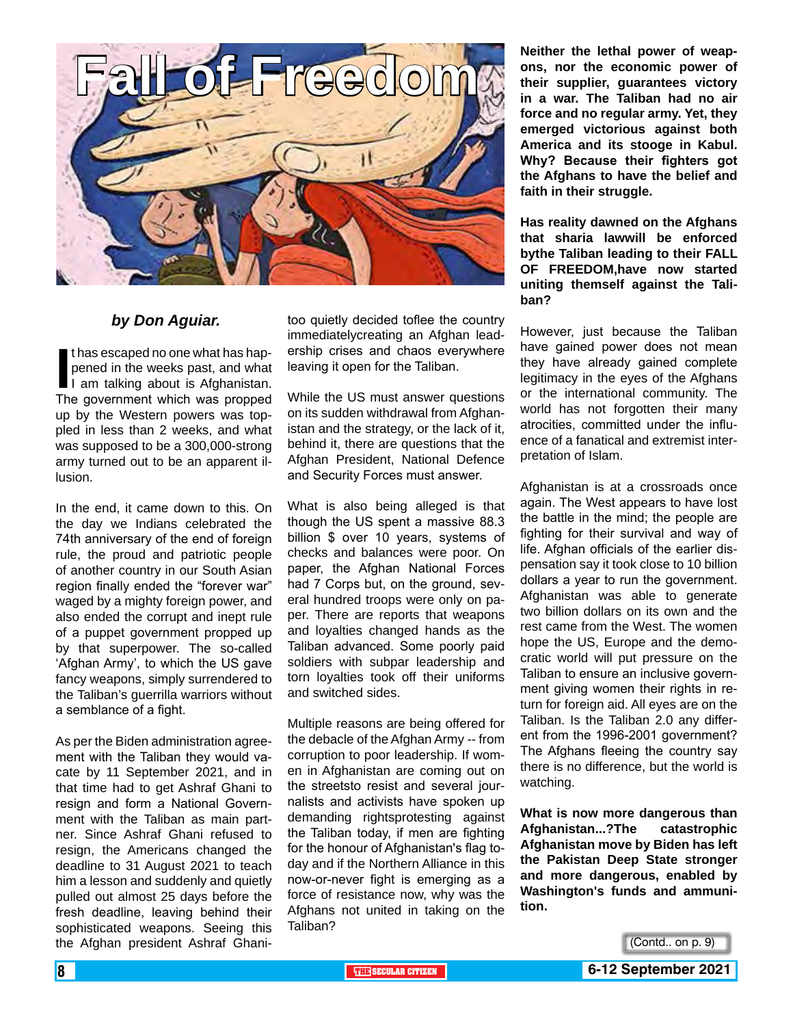

#### *by Don Aguiar.*

If thas escaped no one what has hap-<br>pened in the weeks past, and what<br>I am talking about is Afghanistan.<br>The government which was propped t has escaped no one what has happened in the weeks past, and what I am talking about is Afghanistan. up by the Western powers was toppled in less than 2 weeks, and what was supposed to be a 300,000-strong army turned out to be an apparent illusion.

In the end, it came down to this. On the day we Indians celebrated the 74th anniversary of the end of foreign rule, the proud and patriotic people of another country in our South Asian region finally ended the "forever war" waged by a mighty foreign power, and also ended the corrupt and inept rule of a puppet government propped up by that superpower. The so-called 'Afghan Army', to which the US gave fancy weapons, simply surrendered to the Taliban's guerrilla warriors without a semblance of a fight.

As per the Biden administration agreement with the Taliban they would vacate by 11 September 2021, and in that time had to get Ashraf Ghani to resign and form a National Government with the Taliban as main partner. Since Ashraf Ghani refused to resign, the Americans changed the deadline to 31 August 2021 to teach him a lesson and suddenly and quietly pulled out almost 25 days before the fresh deadline, leaving behind their sophisticated weapons. Seeing this the Afghan president Ashraf Ghani-

too quietly decided toflee the country immediatelycreating an Afghan leadership crises and chaos everywhere leaving it open for the Taliban.

While the US must answer questions on its sudden withdrawal from Afghanistan and the strategy, or the lack of it, behind it, there are questions that the Afghan President, National Defence and Security Forces must answer.

What is also being alleged is that though the US spent a massive 88.3 billion \$ over 10 years, systems of checks and balances were poor. On paper, the Afghan National Forces had 7 Corps but, on the ground, several hundred troops were only on paper. There are reports that weapons and loyalties changed hands as the Taliban advanced. Some poorly paid soldiers with subpar leadership and torn loyalties took off their uniforms and switched sides.

Multiple reasons are being offered for the debacle of the Afghan Army -- from corruption to poor leadership. If women in Afghanistan are coming out on the streetsto resist and several journalists and activists have spoken up demanding rightsprotesting against the Taliban today, if men are fighting for the honour of Afghanistan's flag today and if the Northern Alliance in this now-or-never fight is emerging as a force of resistance now, why was the Afghans not united in taking on the Taliban?

**Neither the lethal power of weapons, nor the economic power of their supplier, guarantees victory in a war. The Taliban had no air force and no regular army. Yet, they emerged victorious against both America and its stooge in Kabul. Why? Because their fighters got the Afghans to have the belief and faith in their struggle.**

**Has reality dawned on the Afghans that sharia lawwill be enforced bythe Taliban leading to their FALL OF FREEDOM,have now started uniting themself against the Taliban?** 

However, just because the Taliban have gained power does not mean they have already gained complete legitimacy in the eyes of the Afghans or the international community. The world has not forgotten their many atrocities, committed under the influence of a fanatical and extremist interpretation of Islam.

Afghanistan is at a crossroads once again. The West appears to have lost the battle in the mind; the people are fighting for their survival and way of life. Afghan officials of the earlier dispensation say it took close to 10 billion dollars a year to run the government. Afghanistan was able to generate two billion dollars on its own and the rest came from the West. The women hope the US, Europe and the democratic world will put pressure on the Taliban to ensure an inclusive government giving women their rights in return for foreign aid. All eyes are on the Taliban. Is the Taliban 2.0 any different from the 1996-2001 government? The Afghans fleeing the country say there is no difference, but the world is watching.

**What is now more dangerous than Afghanistan...?The catastrophic Afghanistan move by Biden has left the Pakistan Deep State stronger and more dangerous, enabled by Washington's funds and ammunition.**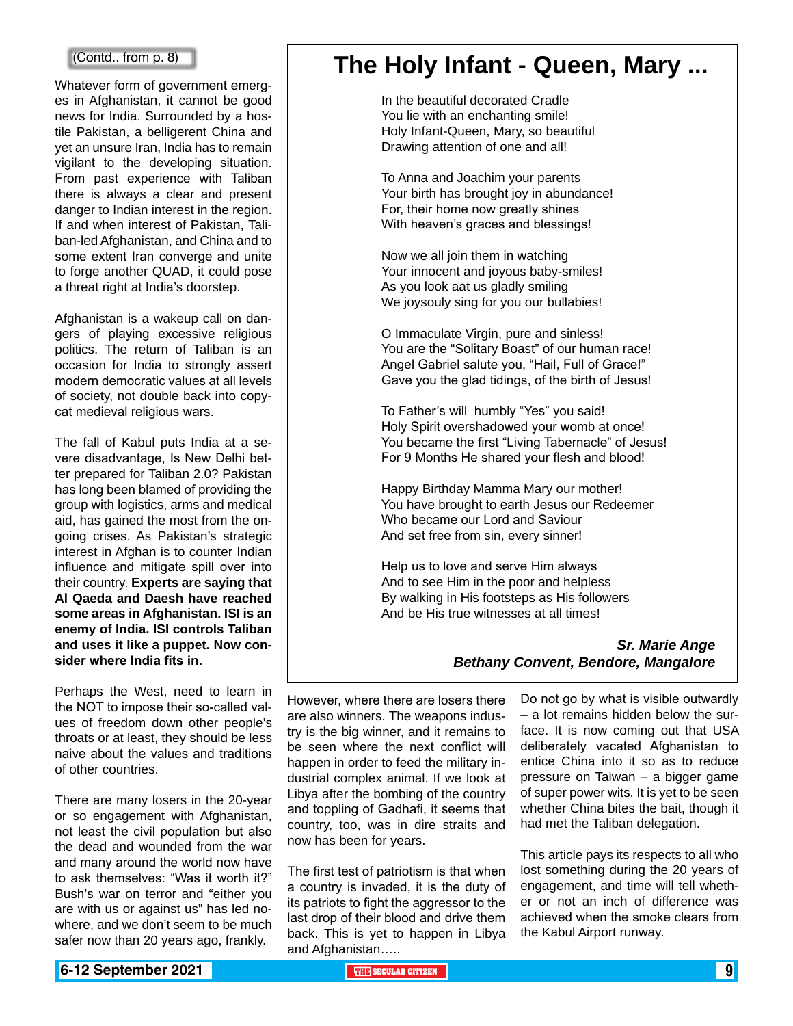Whatever form of government emerges in Afghanistan, it cannot be good news for India. Surrounded by a hostile Pakistan, a belligerent China and yet an unsure Iran, India has to remain vigilant to the developing situation. From past experience with Taliban there is always a clear and present danger to Indian interest in the region. If and when interest of Pakistan, Taliban-led Afghanistan, and China and to some extent Iran converge and unite to forge another QUAD, it could pose a threat right at India's doorstep.

Afghanistan is a wakeup call on dangers of playing excessive religious politics. The return of Taliban is an occasion for India to strongly assert modern democratic values at all levels of society, not double back into copycat medieval religious wars.

The fall of Kabul puts India at a severe disadvantage, Is New Delhi better prepared for Taliban 2.0? Pakistan has long been blamed of providing the group with logistics, arms and medical aid, has gained the most from the ongoing crises. As Pakistan's strategic interest in Afghan is to counter Indian influence and mitigate spill over into their country. **Experts are saying that Al Qaeda and Daesh have reached some areas in Afghanistan. ISI is an enemy of India. ISI controls Taliban and uses it like a puppet. Now consider where India fits in.**

Perhaps the West, need to learn in the NOT to impose their so-called values of freedom down other people's throats or at least, they should be less naive about the values and traditions of other countries.

There are many losers in the 20-year or so engagement with Afghanistan, not least the civil population but also the dead and wounded from the war and many around the world now have to ask themselves: "Was it worth it?" Bush's war on terror and "either you are with us or against us" has led nowhere, and we don't seem to be much safer now than 20 years ago, frankly.

## (Contd.. from p. 8) **The Holy Infant - Queen, Mary ...**

In the beautiful decorated Cradle You lie with an enchanting smile! Holy Infant-Queen, Mary, so beautiful Drawing attention of one and all!

To Anna and Joachim your parents Your birth has brought joy in abundance! For, their home now greatly shines With heaven's graces and blessings!

Now we all join them in watching Your innocent and joyous baby-smiles! As you look aat us gladly smiling We joysouly sing for you our bullabies!

O Immaculate Virgin, pure and sinless! You are the "Solitary Boast" of our human race! Angel Gabriel salute you, "Hail, Full of Grace!" Gave you the glad tidings, of the birth of Jesus!

To Father's will humbly "Yes" you said! Holy Spirit overshadowed your womb at once! You became the first "Living Tabernacle" of Jesus! For 9 Months He shared your flesh and blood!

Happy Birthday Mamma Mary our mother! You have brought to earth Jesus our Redeemer Who became our Lord and Saviour And set free from sin, every sinner!

Help us to love and serve Him always And to see Him in the poor and helpless By walking in His footsteps as His followers And be His true witnesses at all times!

#### *Sr. Marie Ange Bethany Convent, Bendore, Mangalore*

However, where there are losers there are also winners. The weapons industry is the big winner, and it remains to be seen where the next conflict will happen in order to feed the military industrial complex animal. If we look at Libya after the bombing of the country and toppling of Gadhafi, it seems that country, too, was in dire straits and now has been for years.

The first test of patriotism is that when a country is invaded, it is the duty of its patriots to fight the aggressor to the last drop of their blood and drive them back. This is yet to happen in Libya and Afghanistan…..

Do not go by what is visible outwardly – a lot remains hidden below the surface. It is now coming out that USA deliberately vacated Afghanistan to entice China into it so as to reduce pressure on Taiwan – a bigger game of super power wits. It is yet to be seen whether China bites the bait, though it had met the Taliban delegation.

This article pays its respects to all who lost something during the 20 years of engagement, and time will tell whether or not an inch of difference was achieved when the smoke clears from the Kabul Airport runway.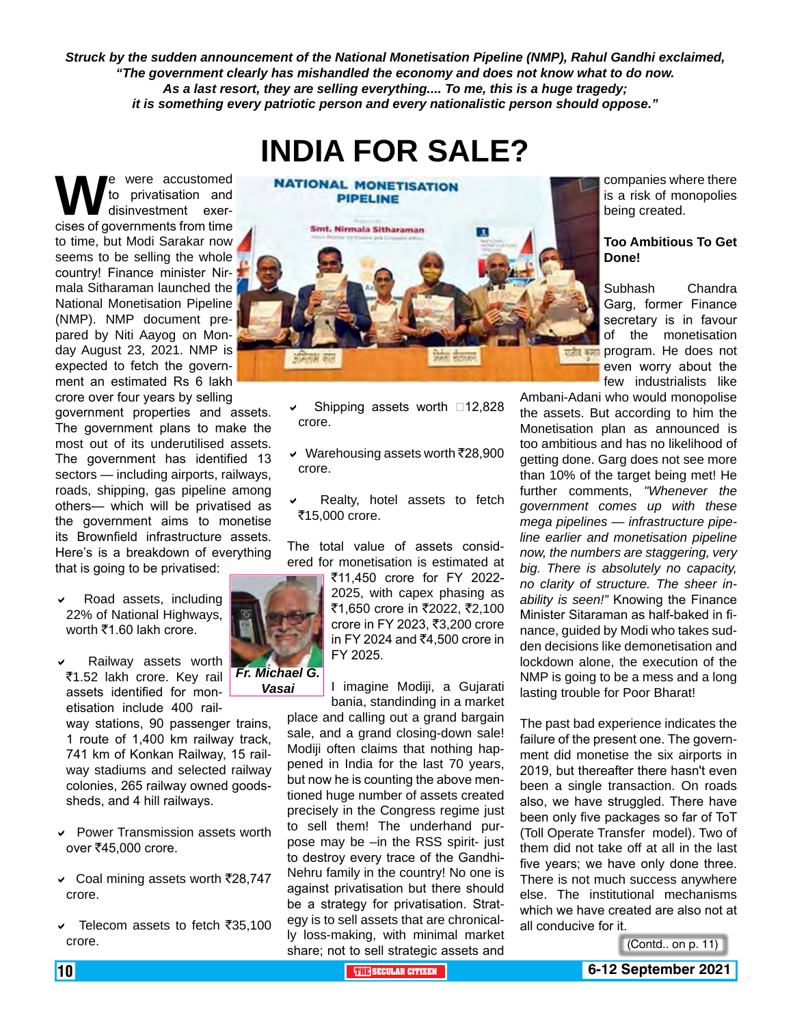*Struck by the sudden announcement of the National Monetisation Pipeline (NMP), Rahul Gandhi exclaimed, "The government clearly has mishandled the economy and does not know what to do now. As a last resort, they are selling everything.... To me, this is a huge tragedy; it is something every patriotic person and every nationalistic person should oppose."*

**INDIA FOR SALE?**

**W**e were accustomed<br>
to privatisation and<br>
cises of governments from time to privatisation and disinvestment exerto time, but Modi Sarakar now seems to be selling the whole country! Finance minister Nirmala Sitharaman launched the National Monetisation Pipeline (NMP). NMP document prepared by Niti Aayog on Monday August 23, 2021. NMP is expected to fetch the government an estimated Rs 6 lakh crore over four years by selling

government properties and assets. The government plans to make the most out of its underutilised assets. The government has identified 13 sectors — including airports, railways, roads, shipping, gas pipeline among others— which will be privatised as the government aims to monetise its Brownfield infrastructure assets. Here's is a breakdown of everything that is going to be privatised:

- Road assets, including 22% of National Highways, worth  $\overline{z}1.60$  lakh crore.
- Railway assets worth ₹1.52 lakh crore. Key rail assets identified for monetisation include 400 rail-

way stations, 90 passenger trains, 1 route of 1,400 km railway track, 741 km of Konkan Railway, 15 railway stadiums and selected railway colonies, 265 railway owned goodssheds, and 4 hill railways.

*Fr. Michael G. Vasai*

- Power Transmission assets worth over ₹45,000 crore.
- $\vee$  Coal mining assets worth ₹28,747 crore.
- $\vee$  Telecom assets to fetch ₹35,100 crore.



- Shipping assets worth  $\Box$ 12,828 crore.
- $\vee$  Warehousing assets worth ₹28,900 crore.
- Realty, hotel assets to fetch ₹15,000 crore.

The total value of assets considered for monetisation is estimated at

> ₹11,450 crore for FY 2022-2025, with capex phasing as ₹1,650 crore in ₹2022, ₹2,100 crore in FY 2023, ₹3,200 crore in FY 2024 and  $\bar{z}$ 4,500 crore in FY 2025.

> I imagine Modiji, a Gujarati bania, standinding in a market

place and calling out a grand bargain sale, and a grand closing-down sale! Modiji often claims that nothing happened in India for the last 70 years, but now he is counting the above mentioned huge number of assets created precisely in the Congress regime just to sell them! The underhand purpose may be –in the RSS spirit- just to destroy every trace of the Gandhi-Nehru family in the country! No one is against privatisation but there should be a strategy for privatisation. Strategy is to sell assets that are chronically loss-making, with minimal market share; not to sell strategic assets and

companies where there is a risk of monopolies being created.

#### **Too Ambitious To Get Done!**

Subhash Chandra Garg, former Finance secretary is in favour of the monetisation **program.** He does not even worry about the few industrialists like

Ambani-Adani who would monopolise the assets. But according to him the Monetisation plan as announced is too ambitious and has no likelihood of getting done. Garg does not see more than 10% of the target being met! He further comments, *"Whenever the government comes up with these mega pipelines — infrastructure pipeline earlier and monetisation pipeline now, the numbers are staggering, very big. There is absolutely no capacity, no clarity of structure. The sheer inability is seen!"* Knowing the Finance Minister Sitaraman as half-baked in finance, guided by Modi who takes sudden decisions like demonetisation and lockdown alone, the execution of the NMP is going to be a mess and a long lasting trouble for Poor Bharat!

The past bad experience indicates the failure of the present one. The government did monetise the six airports in 2019, but thereafter there hasn't even been a single transaction. On roads also, we have struggled. There have been only five packages so far of ToT (Toll Operate Transfer model). Two of them did not take off at all in the last five years; we have only done three. There is not much success anywhere else. The institutional mechanisms which we have created are also not at all conducive for it.

(Contd.. on p. 11)

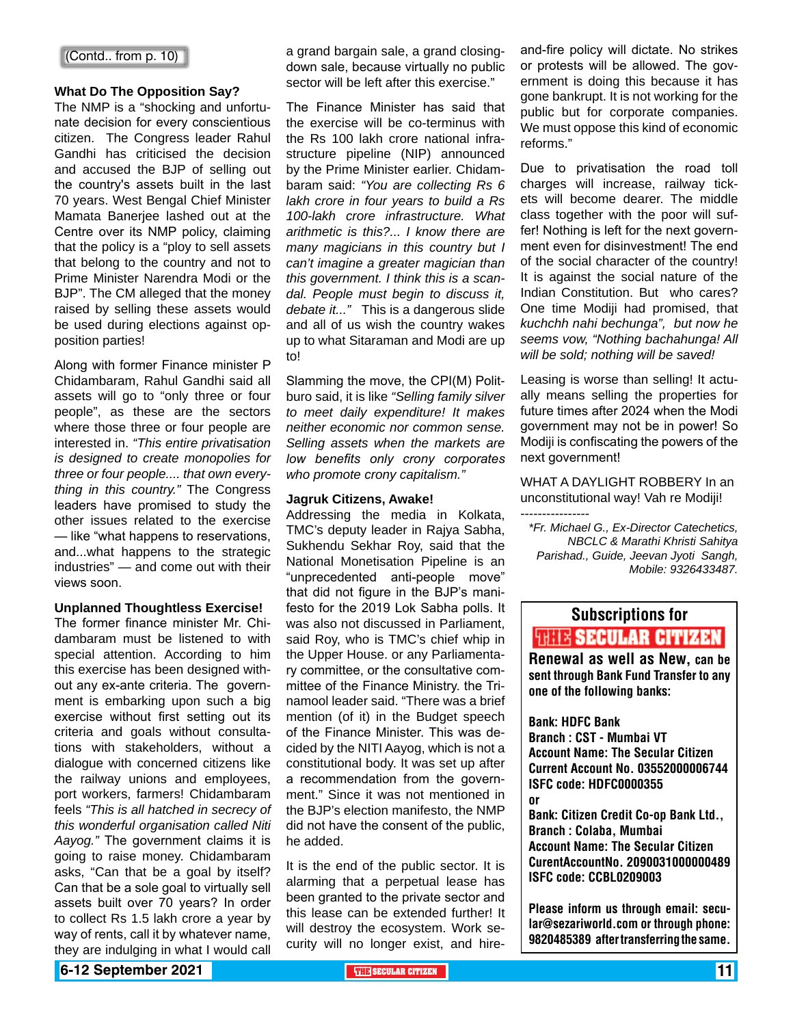#### **What Do The Opposition Say?**

The NMP is a "shocking and unfortunate decision for every conscientious citizen. The Congress leader Rahul Gandhi has criticised the decision and accused the BJP of selling out the country's assets built in the last 70 years. West Bengal Chief Minister Mamata Banerjee lashed out at the Centre over its NMP policy, claiming that the policy is a "ploy to sell assets that belong to the country and not to Prime Minister Narendra Modi or the BJP". The CM alleged that the money raised by selling these assets would be used during elections against opposition parties!

Along with former Finance minister P Chidambaram, Rahul Gandhi said all assets will go to "only three or four people", as these are the sectors where those three or four people are interested in. *"This entire privatisation is designed to create monopolies for three or four people.... that own everything in this country."* The Congress leaders have promised to study the other issues related to the exercise — like "what happens to reservations, and...what happens to the strategic industries" — and come out with their views soon.

#### **Unplanned Thoughtless Exercise!**

The former finance minister Mr. Chidambaram must be listened to with special attention. According to him this exercise has been designed without any ex-ante criteria. The government is embarking upon such a big exercise without first setting out its criteria and goals without consultations with stakeholders, without a dialogue with concerned citizens like the railway unions and employees, port workers, farmers! Chidambaram feels *"This is all hatched in secrecy of this wonderful organisation called Niti Aayog."* The government claims it is going to raise money. Chidambaram asks, "Can that be a goal by itself? Can that be a sole goal to virtually sell assets built over 70 years? In order to collect Rs 1.5 lakh crore a year by way of rents, call it by whatever name, they are indulging in what I would call

a grand bargain sale, a grand closingdown sale, because virtually no public sector will be left after this exercise."

The Finance Minister has said that the exercise will be co-terminus with the Rs 100 lakh crore national infrastructure pipeline (NIP) announced by the Prime Minister earlier. Chidambaram said: *"You are collecting Rs 6 lakh crore in four years to build a Rs 100-lakh crore infrastructure. What arithmetic is this?... I know there are many magicians in this country but I can't imagine a greater magician than this government. I think this is a scandal. People must begin to discuss it, debate it..."* This is a dangerous slide and all of us wish the country wakes up to what Sitaraman and Modi are up to!

Slamming the move, the CPI(M) Politburo said, it is like *"Selling family silver to meet daily expenditure! It makes neither economic nor common sense. Selling assets when the markets are low benefits only crony corporates who promote crony capitalism."*

#### **Jagruk Citizens, Awake!**

Addressing the media in Kolkata, TMC's deputy leader in Rajya Sabha, Sukhendu Sekhar Roy, said that the National Monetisation Pipeline is an "unprecedented anti-people move" that did not figure in the BJP's manifesto for the 2019 Lok Sabha polls. It was also not discussed in Parliament, said Roy, who is TMC's chief whip in the Upper House. or any Parliamentary committee, or the consultative committee of the Finance Ministry. the Trinamool leader said. "There was a brief mention (of it) in the Budget speech of the Finance Minister. This was decided by the NITI Aayog, which is not a constitutional body. It was set up after a recommendation from the government." Since it was not mentioned in the BJP's election manifesto, the NMP did not have the consent of the public, he added.

It is the end of the public sector. It is alarming that a perpetual lease has been granted to the private sector and this lease can be extended further! It will destroy the ecosystem. Work security will no longer exist, and hireand-fire policy will dictate. No strikes or protests will be allowed. The government is doing this because it has gone bankrupt. It is not working for the public but for corporate companies. We must oppose this kind of economic reforms."

Due to privatisation the road toll charges will increase, railway tickets will become dearer. The middle class together with the poor will suffer! Nothing is left for the next government even for disinvestment! The end of the social character of the country! It is against the social nature of the Indian Constitution. But who cares? One time Modiji had promised, that *kuchchh nahi bechunga", but now he seems vow, "Nothing bachahunga! All will be sold; nothing will be saved!*

Leasing is worse than selling! It actually means selling the properties for future times after 2024 when the Modi government may not be in power! So Modiji is confiscating the powers of the next government!

WHAT A DAYLIGHT ROBBERY In an unconstitutional way! Vah re Modiji!

---------------- *\*Fr. Michael G., Ex-Director Catechetics, NBCLC & Marathi Khristi Sahitya Parishad., Guide, Jeevan Jyoti Sangh, Mobile: 9326433487.*

## Subscriptions for **THIT'S SECULAR CITIZEN**<br>Renewal as well as New, can be

sent through Bank Fund Transfer to any one of the following banks:

Bank: HDFC Bank Branch : CST - Mumbai VT Account Name: The Secular Citizen Current Account No. 03552000006744 ISFC code: HDFC0000355 or

Bank: Citizen Credit Co-op Bank Ltd., Branch : Colaba, Mumbai Account Name: The Secular Citizen CurentAccountNo. 2090031000000489 ISFC code: CCBL0209003

Please inform us through email: secular@sezariworld.com or through phone: 9820485389 after transferring the same.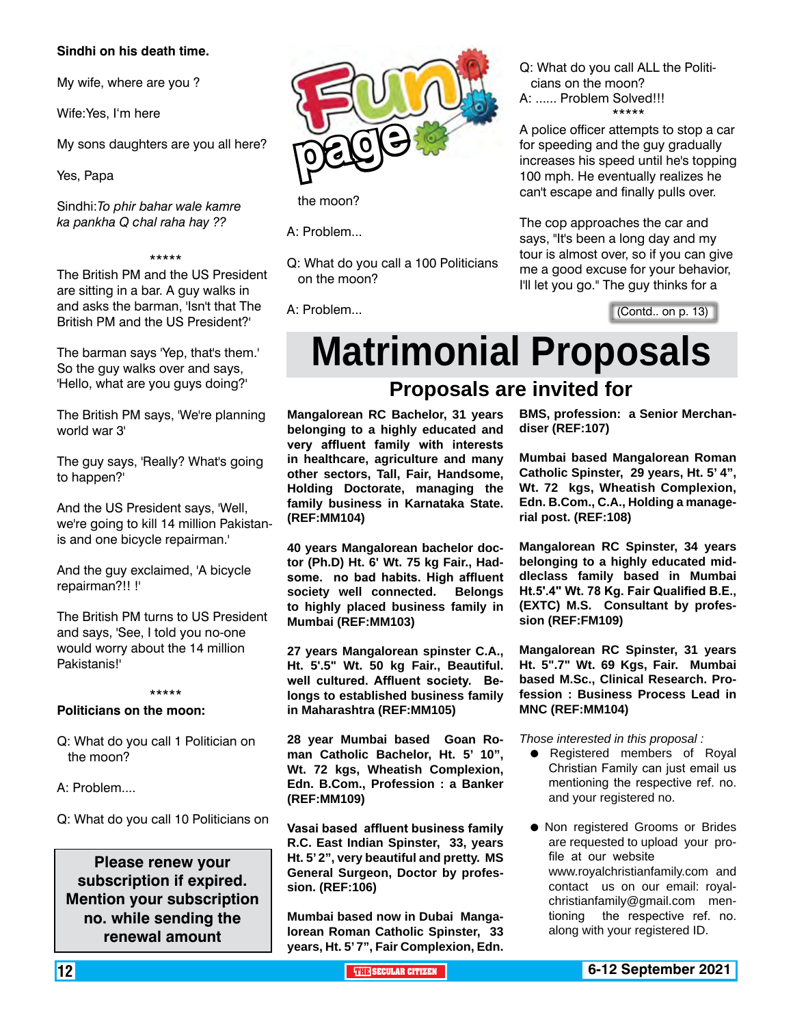#### **Sindhi on his death time.**

My wife, where are you ?

Wife:Yes, I'm here

My sons daughters are you all here?

Yes, Papa

Sindhi:*To phir bahar wale kamre ka pankha Q chal raha hay ??*

#### \*\*\*\*\*

The British PM and the US President are sitting in a bar. A guy walks in and asks the barman, 'Isn't that The British PM and the US President?'

The barman says 'Yep, that's them.' So the guy walks over and says, 'Hello, what are you guys doing?'

The British PM says, 'We're planning world war 3'

The guy says, 'Really? What's going to happen?'

And the US President says, 'Well, we're going to kill 14 million Pakistanis and one bicycle repairman.'

And the guy exclaimed, 'A bicycle repairman?!! !'

The British PM turns to US President and says, 'See, I told you no-one would worry about the 14 million Pakistanis!'

#### \*\*\*\*\*

#### **Politicians on the moon:**

- Q: What do you call 1 Politician on the moon?
- A: Problem....
- Q: What do you call 10 Politicians on

**Please renew your subscription if expired. Mention your subscription no. while sending the renewal amount**



the moon?

A: Problem...

Q: What do you call a 100 Politicians on the moon?

A: Problem...

Q: What do you call ALL the Politicians on the moon? A: ...... Problem Solved!!! \*\*\*\*\*

A police officer attempts to stop a car for speeding and the guy gradually increases his speed until he's topping 100 mph. He eventually realizes he can't escape and finally pulls over.

The cop approaches the car and says, "It's been a long day and my tour is almost over, so if you can give me a good excuse for your behavior, I'll let you go." The guy thinks for a

(Contd.. on p. 13)

# **Matrimonial Proposals**

### **Proposals are invited for**

**Mangalorean RC Bachelor, 31 years belonging to a highly educated and very affluent family with interests in healthcare, agriculture and many other sectors, Tall, Fair, Handsome, Holding Doctorate, managing the family business in Karnataka State. (REF:MM104)**

**40 years Mangalorean bachelor doctor (Ph.D) Ht. 6' Wt. 75 kg Fair., Hadsome. no bad habits. High affluent society well connected. Belongs to highly placed business family in Mumbai (REF:MM103)**

**27 years Mangalorean spinster C.A., Ht. 5'.5" Wt. 50 kg Fair., Beautiful. well cultured. Affluent society. Belongs to established business family in Maharashtra (REF:MM105)**

**28 year Mumbai based Goan Roman Catholic Bachelor, Ht. 5' 10", Wt. 72 kgs, Wheatish Complexion, Edn. B.Com., Profession : a Banker (REF:MM109)**

**Vasai based affluent business family R.C. East Indian Spinster, 33, years Ht. 5' 2", very beautiful and pretty. MS General Surgeon, Doctor by profession. (REF:106)**

**Mumbai based now in Dubai Mangalorean Roman Catholic Spinster, 33 years, Ht. 5' 7", Fair Complexion, Edn.** 

**BMS, profession: a Senior Merchandiser (REF:107)**

**Mumbai based Mangalorean Roman Catholic Spinster, 29 years, Ht. 5' 4", Wt. 72 kgs, Wheatish Complexion, Edn. B.Com., C.A., Holding a managerial post. (REF:108)** 

**Mangalorean RC Spinster, 34 years belonging to a highly educated middleclass family based in Mumbai Ht.5'.4" Wt. 78 Kg. Fair Qualified B.E., (EXTC) M.S. Consultant by profession (REF:FM109)**

**Mangalorean RC Spinster, 31 years Ht. 5".7" Wt. 69 Kgs, Fair. Mumbai based M.Sc., Clinical Research. Profession : Business Process Lead in MNC (REF:MM104)**

*Those interested in this proposal :*

- **•** Registered members of Royal Christian Family can just email us mentioning the respective ref. no. and your registered no.
- **Non registered Grooms or Brides** are requested to upload your profile at our website www.royalchristianfamily.com and contact us on our email: royalchristianfamily@gmail.com mentioning the respective ref. no. along with your registered ID.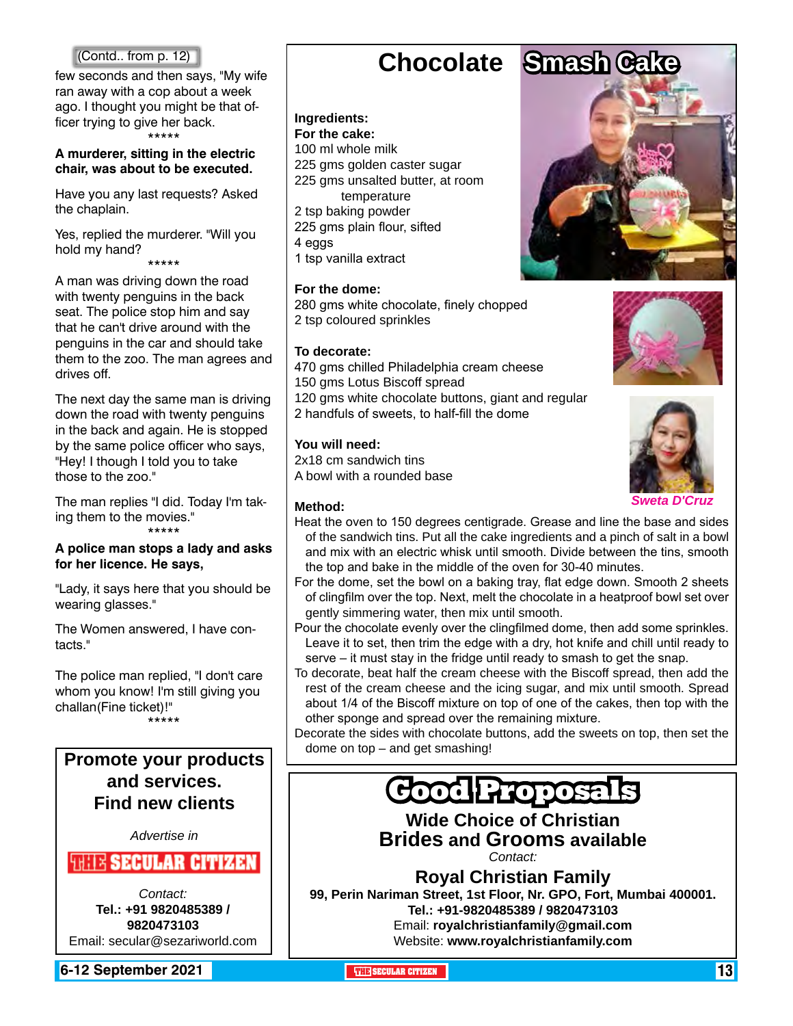few seconds and then says, "My wife ran away with a cop about a week ago. I thought you might be that officer trying to give her back. \*\*\*\*\*

#### **A murderer, sitting in the electric chair, was about to be executed.**

Have you any last requests? Asked the chaplain.

Yes, replied the murderer. "Will you hold my hand?

\*\*\*\*\*

A man was driving down the road with twenty penguins in the back seat. The police stop him and say that he can't drive around with the penguins in the car and should take them to the zoo. The man agrees and drives off.

The next day the same man is driving down the road with twenty penguins in the back and again. He is stopped by the same police officer who says, "Hey! I though I told you to take those to the zoo."

The man replies "I did. Today I'm taking them to the movies." \*\*\*\*\*

#### **A police man stops a lady and asks for her licence. He says,**

"Lady, it says here that you should be wearing glasses."

The Women answered, I have contacts."

The police man replied, "I don't care whom you know! I'm still giving you challan(Fine ticket)!" \*\*\*\*\*

### **Promote your products and services. Find new clients**

*Advertise in*

#### **WEIX SECULAR CITIZEN**

*Contact:* **Tel.: +91 9820485389 / 9820473103** Email: secular@sezariworld.com

**6-12 September 2021 The Secular Citizen 13 The SECULAR CITIZEN** 13 **THE** SECULAR CITIZEN 13 **THEFT** 

## **Chocolate Smash Cake**

#### **Ingredients: For the cake:**

100 ml whole milk 225 gms golden caster sugar 225 gms unsalted butter, at room temperature 2 tsp baking powder 225 gms plain flour, sifted 4 eggs 1 tsp vanilla extract

#### **For the dome:**

280 gms white chocolate, finely chopped 2 tsp coloured sprinkles

#### **To decorate:**

470 gms chilled Philadelphia cream cheese 150 gms Lotus Biscoff spread 120 gms white chocolate buttons, giant and regular 2 handfuls of sweets, to half-fill the dome

#### **You will need:**

2x18 cm sandwich tins A bowl with a rounded base

#### **Method:**

- Heat the oven to 150 degrees centigrade. Grease and line the base and sides of the sandwich tins. Put all the cake ingredients and a pinch of salt in a bowl and mix with an electric whisk until smooth. Divide between the tins, smooth the top and bake in the middle of the oven for 30-40 minutes.
- For the dome, set the bowl on a baking tray, flat edge down. Smooth 2 sheets of clingfilm over the top. Next, melt the chocolate in a heatproof bowl set over gently simmering water, then mix until smooth.
- Pour the chocolate evenly over the clingfilmed dome, then add some sprinkles. Leave it to set, then trim the edge with a dry, hot knife and chill until ready to serve – it must stay in the fridge until ready to smash to get the snap.
- To decorate, beat half the cream cheese with the Biscoff spread, then add the rest of the cream cheese and the icing sugar, and mix until smooth. Spread about 1/4 of the Biscoff mixture on top of one of the cakes, then top with the other sponge and spread over the remaining mixture.

Decorate the sides with chocolate buttons, add the sweets on top, then set the dome on top – and get smashing!

## Good Propos

**Wide Choice of Christian Brides and Grooms available**

*Contact:*

**Royal Christian Family 99, Perin Nariman Street, 1st Floor, Nr. GPO, Fort, Mumbai 400001.** 

> **Tel.: +91-9820485389 / 9820473103** Email: **royalchristianfamily@gmail.com** Website: **www.royalchristianfamily.com**







*Sweta D'Cruz*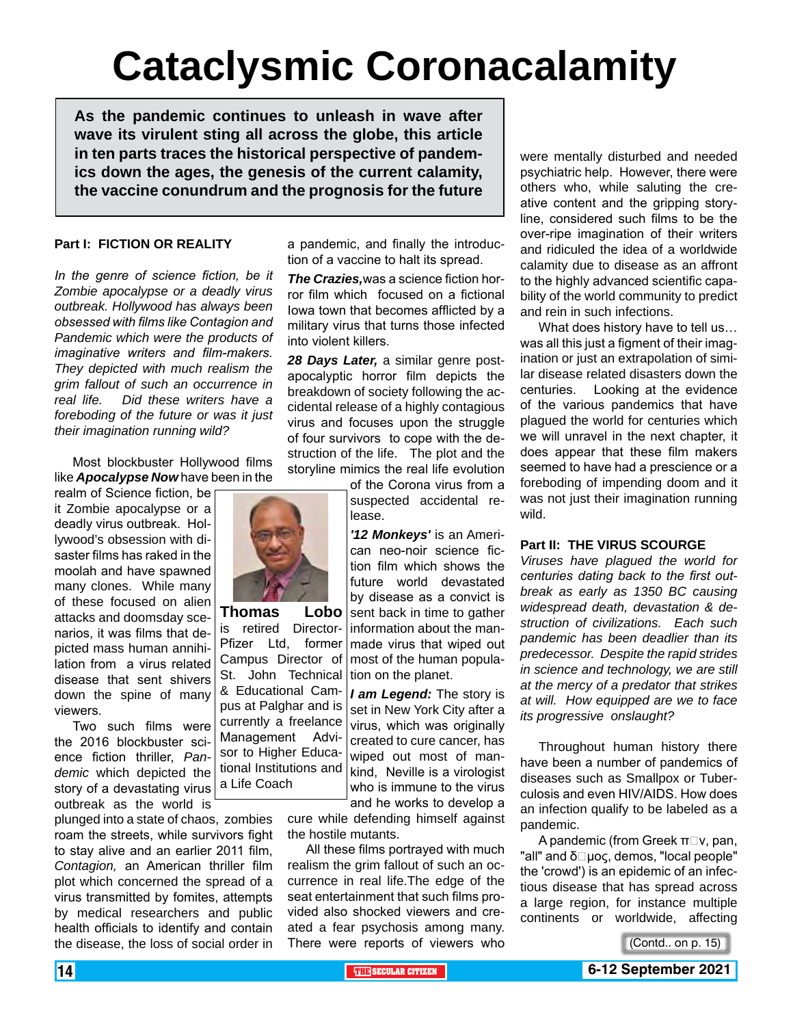# **Cataclysmic Coronacalamity**

**As the pandemic continues to unleash in wave after wave its virulent sting all across the globe, this article in ten parts traces the historical perspective of pandemics down the ages, the genesis of the current calamity, the vaccine conundrum and the prognosis for the future**

#### **Part I: FICTION OR REALITY**

*In the genre of science fiction, be it Zombie apocalypse or a deadly virus outbreak. Hollywood has always been obsessed with films like Contagion and Pandemic which were the products of imaginative writers and film-makers. They depicted with much realism the grim fallout of such an occurrence in real life. Did these writers have a foreboding of the future or was it just their imagination running wild?*

Most blockbuster Hollywood films like *Apocalypse Now* have been in the

realm of Science fiction, be it Zombie apocalypse or a deadly virus outbreak. Hollywood's obsession with disaster films has raked in the moolah and have spawned many clones. While many of these focused on alien attacks and doomsday scenarios, it was films that depicted mass human annihilation from a virus related disease that sent shivers down the spine of many viewers.

Two such films were the 2016 blockbuster science fiction thriller, *Pandemic* which depicted the story of a devastating virus outbreak as the world is

plunged into a state of chaos, zombies roam the streets, while survivors fight to stay alive and an earlier 2011 film, *Contagion,* an American thriller film plot which concerned the spread of a virus transmitted by fomites, attempts by medical researchers and public health officials to identify and contain the disease, the loss of social order in a pandemic, and finally the introduction of a vaccine to halt its spread.

*The Crazies,*was a science fiction horror film which focused on a fictional Iowa town that becomes afflicted by a military virus that turns those infected into violent killers.

*28 Days Later,* a similar genre postapocalyptic horror film depicts the breakdown of society following the accidental release of a highly contagious virus and focuses upon the struggle of four survivors to cope with the destruction of the life. The plot and the storyline mimics the real life evolution

of the Corona virus from a suspected accidental release.

*'12 Monkeys'* is an American neo-noir science fiction film which shows the future world devastated by disease as a convict is sent back in time to gather information about the manmade virus that wiped out most of the human population on the planet.

*I am Legend:* The story is set in New York City after a virus, which was originally created to cure cancer, has wiped out most of mankind, Neville is a virologist who is immune to the virus and he works to develop a

cure while defending himself against the hostile mutants.

All these films portrayed with much realism the grim fallout of such an occurrence in real life.The edge of the seat entertainment that such films provided also shocked viewers and created a fear psychosis among many. There were reports of viewers who

were mentally disturbed and needed psychiatric help. However, there were others who, while saluting the creative content and the gripping storyline, considered such films to be the over-ripe imagination of their writers and ridiculed the idea of a worldwide calamity due to disease as an affront to the highly advanced scientific capability of the world community to predict and rein in such infections.

What does history have to tell us… was all this just a figment of their imagination or just an extrapolation of similar disease related disasters down the centuries. Looking at the evidence of the various pandemics that have plagued the world for centuries which we will unravel in the next chapter, it does appear that these film makers seemed to have had a prescience or a foreboding of impending doom and it was not just their imagination running wild.

#### **Part II: THE VIRUS SCOURGE**

*Viruses have plagued the world for centuries dating back to the first outbreak as early as 1350 BC causing widespread death, devastation & destruction of civilizations. Each such pandemic has been deadlier than its predecessor. Despite the rapid strides in science and technology, we are still at the mercy of a predator that strikes at will. How equipped are we to face its progressive onslaught?*

Throughout human history there have been a number of pandemics of diseases such as Smallpox or Tuberculosis and even HIV/AIDS. How does an infection qualify to be labeled as a pandemic.

A pandemic (from Greek  $\pi\Box v$ , pan, "all" and δ $\square$ μος, demos, "local people" the 'crowd') is an epidemic of an infectious disease that has spread across a large region, for instance multiple continents or worldwide, affecting

(Contd.. on p. 15)



**Thomas Lobo** is retired Director-

Pfizer Ltd, former Campus Director of St. John Technical & Educational Cam-

pus at Palghar and is currently a freelance Management Advisor to Higher Educational Institutions and a Life Coach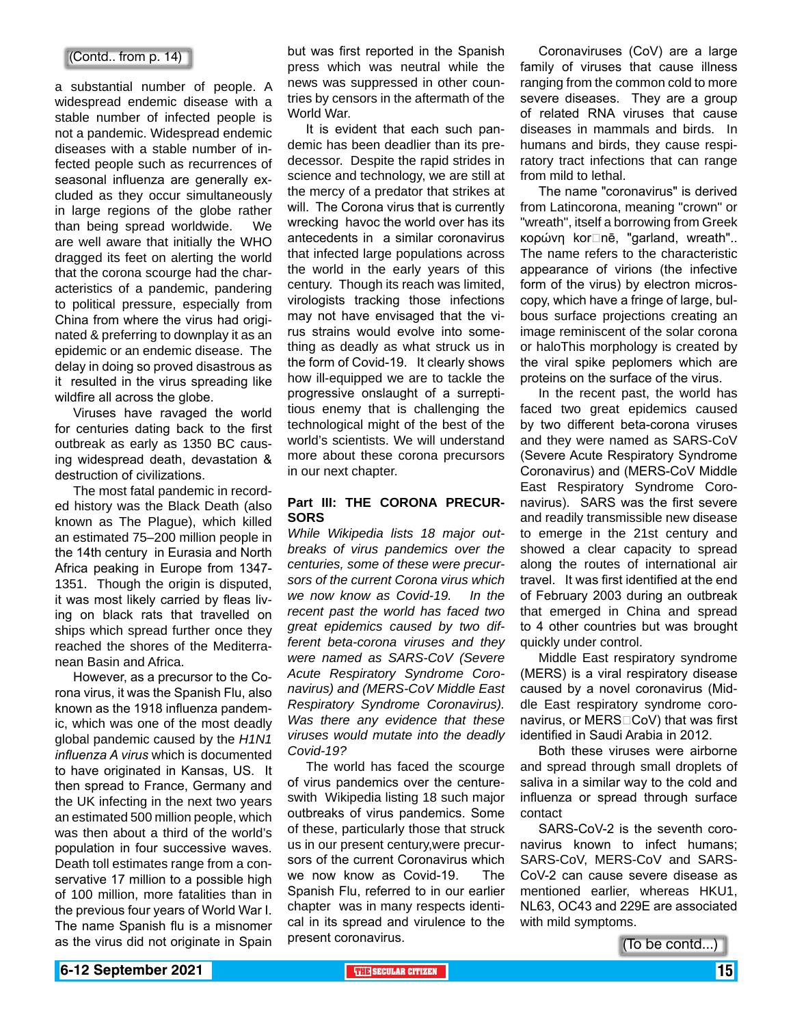#### (Contd.. from p. 14)

a substantial number of people. A widespread endemic disease with a stable number of infected people is not a pandemic. Widespread endemic diseases with a stable number of infected people such as recurrences of seasonal influenza are generally excluded as they occur simultaneously in large regions of the globe rather than being spread worldwide. We are well aware that initially the WHO dragged its feet on alerting the world that the corona scourge had the characteristics of a pandemic, pandering to political pressure, especially from China from where the virus had originated & preferring to downplay it as an epidemic or an endemic disease. The delay in doing so proved disastrous as it resulted in the virus spreading like wildfire all across the globe.

Viruses have ravaged the world for centuries dating back to the first outbreak as early as 1350 BC causing widespread death, devastation & destruction of civilizations.

The most fatal pandemic in recorded history was the Black Death (also known as The Plague), which killed an estimated 75–200 million people in the 14th century in Eurasia and North Africa peaking in Europe from 1347- 1351. Though the origin is disputed, it was most likely carried by fleas living on black rats that travelled on ships which spread further once they reached the shores of the Mediterranean Basin and Africa.

However, as a precursor to the Corona virus, it was the Spanish Flu, also known as the 1918 influenza pandemic, which was one of the most deadly global pandemic caused by the *H1N1 influenza A virus* which is documented to have originated in Kansas, US. It then spread to France, Germany and the UK infecting in the next two years an estimated 500 million people, which was then about a third of the world's population in four successive waves. Death toll estimates range from a conservative 17 million to a possible high of 100 million, more fatalities than in the previous four years of World War I. The name Spanish flu is a misnomer as the virus did not originate in Spain

but was first reported in the Spanish press which was neutral while the news was suppressed in other countries by censors in the aftermath of the World War.

It is evident that each such pandemic has been deadlier than its predecessor. Despite the rapid strides in science and technology, we are still at the mercy of a predator that strikes at will. The Corona virus that is currently wrecking havoc the world over has its antecedents in a similar coronavirus that infected large populations across the world in the early years of this century. Though its reach was limited, virologists tracking those infections may not have envisaged that the virus strains would evolve into something as deadly as what struck us in the form of Covid-19. It clearly shows how ill-equipped we are to tackle the progressive onslaught of a surreptitious enemy that is challenging the technological might of the best of the world's scientists. We will understand more about these corona precursors in our next chapter.

#### **Part III: THE CORONA PRECUR-SORS**

*While Wikipedia lists 18 major outbreaks of virus pandemics over the centuries, some of these were precursors of the current Corona virus which we now know as Covid-19. In the recent past the world has faced two great epidemics caused by two different beta-corona viruses and they were named as SARS-CoV (Severe Acute Respiratory Syndrome Coronavirus) and (MERS-CoV Middle East Respiratory Syndrome Coronavirus). Was there any evidence that these viruses would mutate into the deadly Covid-19?*

The world has faced the scourge of virus pandemics over the centureswith Wikipedia listing 18 such major outbreaks of virus pandemics. Some of these, particularly those that struck us in our present century,were precursors of the current Coronavirus which we now know as Covid-19. The Spanish Flu, referred to in our earlier chapter was in many respects identical in its spread and virulence to the present coronavirus.

Coronaviruses (CoV) are a large family of viruses that cause illness ranging from the common cold to more severe diseases. They are a group of related RNA viruses that cause diseases in mammals and birds. In humans and birds, they cause respiratory tract infections that can range from mild to lethal.

The name "coronavirus" is derived from Latincorona, meaning "crown" or "wreath", itself a borrowing from Greek κορώνη korṓnē, "garland, wreath".. The name refers to the characteristic appearance of virions (the infective form of the virus) by electron microscopy, which have a fringe of large, bulbous surface projections creating an image reminiscent of the solar corona or haloThis morphology is created by the viral spike peplomers which are proteins on the surface of the virus.

In the recent past, the world has faced two great epidemics caused by two different beta-corona viruses and they were named as SARS-CoV (Severe Acute Respiratory Syndrome Coronavirus) and (MERS-CoV Middle East Respiratory Syndrome Coronavirus). SARS was the first severe and readily transmissible new disease to emerge in the 21st century and showed a clear capacity to spread along the routes of international air travel. It was first identified at the end of February 2003 during an outbreak that emerged in China and spread to 4 other countries but was brought quickly under control.

Middle East respiratory syndrome (MERS) is a viral respiratory disease caused by a novel coronavirus (Middle East respiratory syndrome coronavirus, or MERS□CoV) that was first identified in Saudi Arabia in 2012.

Both these viruses were airborne and spread through small droplets of saliva in a similar way to the cold and influenza or spread through surface contact

SARS-CoV-2 is the seventh coronavirus known to infect humans; SARS-CoV, MERS-CoV and SARS-CoV-2 can cause severe disease as mentioned earlier, whereas HKU1, NL63, OC43 and 229E are associated with mild symptoms.

 $T$ o be contd... $)$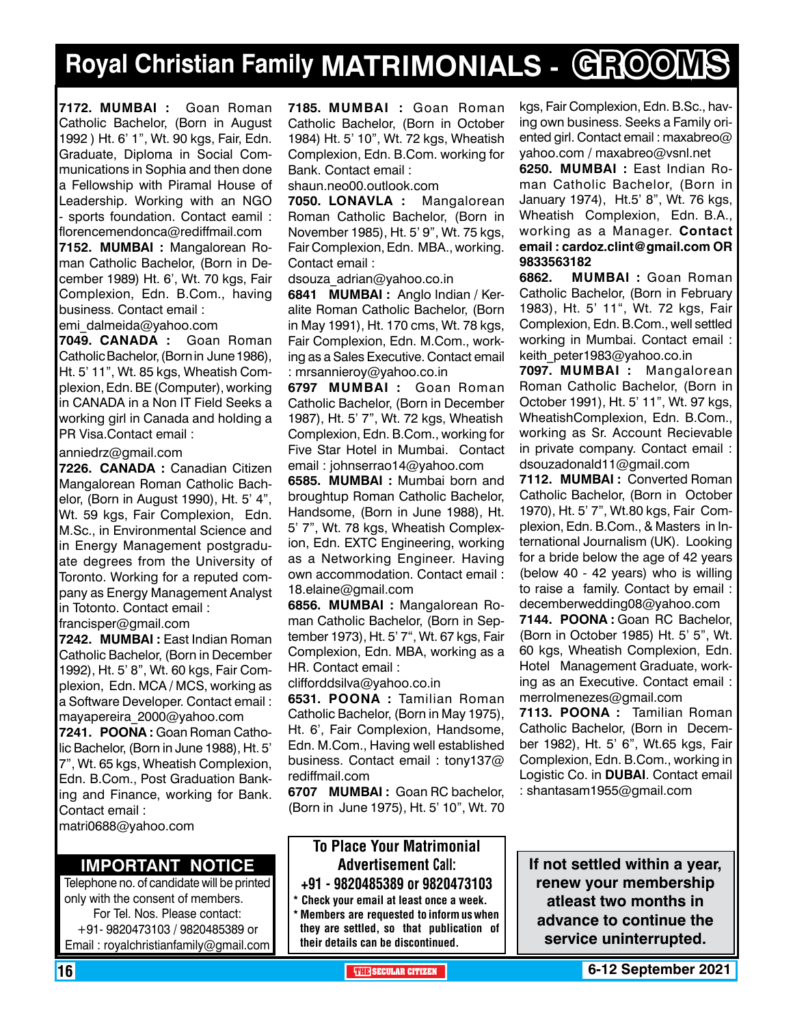# **Royal Christian Family MATRIMONIALS - GROOMS**

**7172. MUMBAI :** Goan Roman Catholic Bachelor, (Born in August 1992 ) Ht. 6' 1", Wt. 90 kgs, Fair, Edn. Graduate, Diploma in Social Communications in Sophia and then done a Fellowship with Piramal House of Leadership. Working with an NGO - sports foundation. Contact eamil : florencemendonca@rediffmail.com **7152. MUMBAI :** Mangalorean Roman Catholic Bachelor, (Born in December 1989) Ht. 6', Wt. 70 kgs, Fair Complexion, Edn. B.Com., having business. Contact email :

emi\_dalmeida@yahoo.com

**7049. CANADA :** Goan Roman Catholic Bachelor, (Born in June 1986), Ht. 5' 11", Wt. 85 kgs, Wheatish Complexion, Edn. BE (Computer), working in CANADA in a Non IT Field Seeks a working girl in Canada and holding a PR Visa.Contact email :

#### anniedrz@gmail.com

**7226. CANADA :** Canadian Citizen Mangalorean Roman Catholic Bachelor, (Born in August 1990), Ht. 5' 4", Wt. 59 kgs, Fair Complexion, Edn. M.Sc., in Environmental Science and in Energy Management postgraduate degrees from the University of Toronto. Working for a reputed company as Energy Management Analyst in Totonto. Contact email :

francisper@gmail.com

**7242. MUMBAI :** East Indian Roman Catholic Bachelor, (Born in December 1992), Ht. 5' 8", Wt. 60 kgs, Fair Complexion, Edn. MCA / MCS, working as a Software Developer. Contact email : mayapereira\_2000@yahoo.com **7241. POONA :** Goan Roman Catholic Bachelor, (Born in June 1988), Ht. 5' 7", Wt. 65 kgs, Wheatish Complexion, Edn. B.Com., Post Graduation Banking and Finance, working for Bank. Contact email :

matri0688@yahoo.com

#### **Important Notice**

Telephone no. of candidate will be printed only with the consent of members. For Tel. Nos. Please contact: +91- 9820473103 / 9820485389 or Email : royalchristianfamily@gmail.com

**7185. MUMBAI :** Goan Roman Catholic Bachelor, (Born in October 1984) Ht. 5' 10", Wt. 72 kgs, Wheatish Complexion, Edn. B.Com. working for Bank. Contact email :

shaun.neo00.outlook.com

**7050. LONAVLA :** Mangalorean Roman Catholic Bachelor, (Born in November 1985), Ht. 5' 9", Wt. 75 kgs, Fair Complexion, Edn. MBA., working. Contact email :

dsouza\_adrian@yahoo.co.in

**6841 MuMBAI :** Anglo Indian / Keralite Roman Catholic Bachelor, (Born in May 1991), Ht. 170 cms, Wt. 78 kgs, Fair Complexion, Edn. M.Com., working as a Sales Executive. Contact email : mrsannieroy@yahoo.co.in

**6797 MUMBAI :** Goan Roman Catholic Bachelor, (Born in December 1987), Ht. 5' 7", Wt. 72 kgs, Wheatish Complexion, Edn. B.Com., working for Five Star Hotel in Mumbai. Contact email : johnserrao14@yahoo.com

**6585. MUMBAI :** Mumbai born and broughtup Roman Catholic Bachelor, Handsome, (Born in June 1988), Ht. 5' 7", Wt. 78 kgs, Wheatish Complexion, Edn. EXTC Engineering, working as a Networking Engineer. Having own accommodation. Contact email : 18.elaine@gmail.com

**6856. MuMBAI :** Mangalorean Roman Catholic Bachelor, (Born in September 1973), Ht. 5' 7", Wt. 67 kgs, Fair Complexion, Edn. MBA, working as a HR. Contact email :

clifforddsilva@yahoo.co.in

**6531. POONA :** Tamilian Roman Catholic Bachelor, (Born in May 1975), Ht. 6', Fair Complexion, Handsome, Edn. M.Com., Having well established business. Contact email : tony137@ rediffmail.com

**6707 Mumbai :** Goan RC bachelor, (Born in June 1975), Ht. 5' 10", Wt. 70

#### To Place Your Matrimonial Advertisement Call: +91 - 9820485389 or 9820473103 \* Check your email at least once a week.

\* Members are requested to inform us when they are settled, so that publication of their details can be discontinued.

kgs, Fair Complexion, Edn. B.Sc., having own business. Seeks a Family oriented girl. Contact email : maxabreo@ yahoo.com / maxabreo@vsnl.net

**6250. MUMBAI :** East Indian Roman Catholic Bachelor, (Born in January 1974), Ht.5' 8", Wt. 76 kgs, Wheatish Complexion, Edn. B.A., working as a Manager. Contact email : cardoz.clint@gmail.com OR 9833563182

**6862. MUMBAI :** Goan Roman Catholic Bachelor, (Born in February 1983), Ht. 5' 11", Wt. 72 kgs, Fair Complexion, Edn. B.Com., well settled working in Mumbai. Contact email : keith\_peter1983@yahoo.co.in

**7097. MUMBAI :** Mangalorean Roman Catholic Bachelor, (Born in October 1991), Ht. 5' 11", Wt. 97 kgs, WheatishComplexion, Edn. B.Com., working as Sr. Account Recievable in private company. Contact email : dsouzadonald11@gmail.com

**7112. MUMBAI :** Converted Roman Catholic Bachelor, (Born in October 1970), Ht. 5' 7", Wt.80 kgs, Fair Complexion, Edn. B.Com., & Masters in International Journalism (UK). Looking for a bride below the age of 42 years (below 40 - 42 years) who is willing to raise a family. Contact by email : decemberwedding08@yahoo.com

**7144. POONA :** Goan RC Bachelor, (Born in October 1985) Ht. 5' 5", Wt. 60 kgs, Wheatish Complexion, Edn. Hotel Management Graduate, working as an Executive. Contact email : merrolmenezes@gmail.com

**7113. POONA :** Tamilian Roman Catholic Bachelor, (Born in December 1982), Ht. 5' 6", Wt.65 kgs, Fair Complexion, Edn. B.Com., working in Logistic Co. in **DUBAI**. Contact email : shantasam1955@gmail.com

**If not settled within a year, renew your membership atleast two months in advance to continue the service uninterrupted.**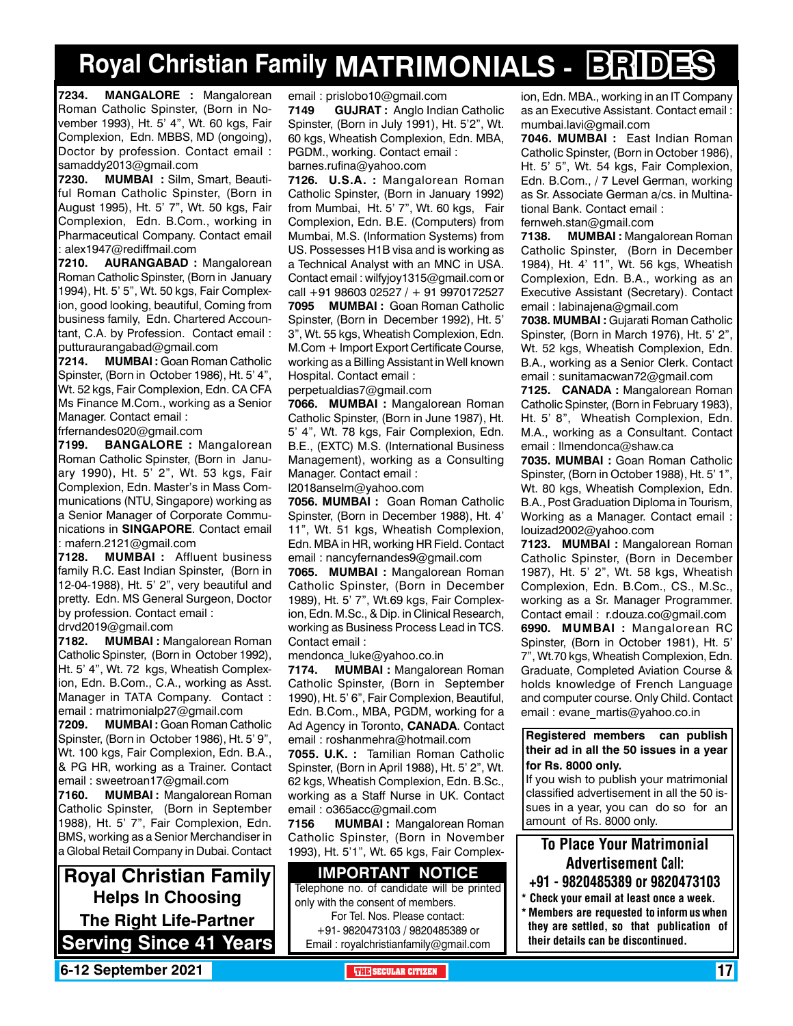# **Royal Christian Family MATRIMONIALS - BRIDES**

**7234. MANGALORE :** Mangalorean Roman Catholic Spinster, (Born in November 1993), Ht. 5' 4", Wt. 60 kgs, Fair Complexion, Edn. MBBS, MD (ongoing), Doctor by profession. Contact email : samaddy2013@gmail.com

**7230. MUMBAI :** Silm, Smart, Beautiful Roman Catholic Spinster, (Born in August 1995), Ht. 5' 7", Wt. 50 kgs, Fair Complexion, Edn. B.Com., working in Pharmaceutical Company. Contact email : alex1947@rediffmail.com

**7210. AURANGABAD :** Mangalorean Roman Catholic Spinster, (Born in January 1994), Ht. 5' 5", Wt. 50 kgs, Fair Complexion, good looking, beautiful, Coming from business family, Edn. Chartered Accountant, C.A. by Profession. Contact email : putturaurangabad@gmail.com

**7214. MUMBAI :** Goan Roman Catholic Spinster, (Born in October 1986), Ht. 5' 4", Wt. 52 kgs, Fair Complexion, Edn. CA CFA Ms Finance M.Com., working as a Senior Manager. Contact email :

frfernandes020@gmail.com

**7199. BANGALORE :** Mangalorean Roman Catholic Spinster, (Born in January 1990), Ht. 5' 2", Wt. 53 kgs, Fair Complexion, Edn. Master's in Mass Communications (NTU, Singapore) working as a Senior Manager of Corporate Communications in **SINGAPORE**. Contact email : mafern.2121@gmail.com

**7128. MUMBAI :** Affluent business family R.C. East Indian Spinster, (Born in 12-04-1988), Ht. 5' 2", very beautiful and pretty. Edn. MS General Surgeon, Doctor by profession. Contact email :

#### drvd2019@gmail.com

**7182. MUMBAI :** Mangalorean Roman Catholic Spinster, (Born in October 1992), Ht. 5' 4", Wt. 72 kgs, Wheatish Complexion, Edn. B.Com., C.A., working as Asst. Manager in TATA Company. Contact : email : matrimonialp27@gmail.com

**7209. MUMBAI :** Goan Roman Catholic Spinster, (Born in October 1986), Ht. 5' 9", Wt. 100 kgs, Fair Complexion, Edn. B.A., & PG HR, working as a Trainer. Contact email : sweetroan17@gmail.com

**7160. MUMBAI :** Mangalorean Roman Catholic Spinster, (Born in September 1988), Ht. 5' 7", Fair Complexion, Edn. BMS, working as a Senior Merchandiser in a Global Retail Company in Dubai. Contact

**Royal Christian Family Helps In Choosing The Right Life-Partner Serving Since 41 Years** email : prislobo10@gmail.com

**7149 GUJRAT :** Anglo Indian Catholic Spinster, (Born in July 1991), Ht. 5'2", Wt. 60 kgs, Wheatish Complexion, Edn. MBA, PGDM., working. Contact email : barnes.rufina@yahoo.com

**7126. U.S.A. :** Mangalorean Roman Catholic Spinster, (Born in January 1992) from Mumbai, Ht. 5' 7", Wt. 60 kgs, Fair Complexion, Edn. B.E. (Computers) from Mumbai, M.S. (Information Systems) from US. Possesses H1B visa and is working as a Technical Analyst with an MNC in USA. Contact email : wilfyjoy1315@gmail.com or call +91 98603 02527 / + 91 9970172527 **7095 MUMBAI :** Goan Roman Catholic Spinster, (Born in December 1992), Ht. 5' 3", Wt. 55 kgs, Wheatish Complexion, Edn. M.Com + Import Export Certificate Course, working as a Billing Assistant in Well known Hospital. Contact email :

perpetualdias7@gmail.com

**7066. MUMBAI :** Mangalorean Roman Catholic Spinster, (Born in June 1987), Ht. 5' 4", Wt. 78 kgs, Fair Complexion, Edn. B.E., (EXTC) M.S. (International Business Management), working as a Consulting Manager. Contact email :

l2018anselm@yahoo.com

**7056. MUMBAI :** Goan Roman Catholic Spinster, (Born in December 1988), Ht. 4' 11", Wt. 51 kgs, Wheatish Complexion, Edn. MBA in HR, working HR Field. Contact email : nancyfernandes9@gmail.com

**7065. MUMBAI :** Mangalorean Roman Catholic Spinster, (Born in December 1989), Ht. 5' 7", Wt.69 kgs, Fair Complexion, Edn. M.Sc., & Dip. in Clinical Research, working as Business Process Lead in TCS. Contact email :

mendonca\_luke@yahoo.co.in

**7174. MUMBAI :** Mangalorean Roman Catholic Spinster, (Born in September 1990), Ht. 5' 6", Fair Complexion, Beautiful, Edn. B.Com., MBA, PGDM, working for a Ad Agency in Toronto, **Canada**. Contact email : roshanmehra@hotmail.com

**7055. U.K. :** Tamilian Roman Catholic Spinster, (Born in April 1988), Ht. 5' 2", Wt. 62 kgs, Wheatish Complexion, Edn. B.Sc., working as a Staff Nurse in UK. Contact email : o365acc@gmail.com

**7156 MUMBAI :** Mangalorean Roman Catholic Spinster, (Born in November 1993), Ht. 5'1", Wt. 65 kgs, Fair Complex-

#### **Important Notice**

Telephone no. of candidate will be printed only with the consent of members. For Tel. Nos. Please contact:

+91- 9820473103 / 9820485389 or Email : royalchristianfamily@gmail.com ion, Edn. MBA., working in an IT Company as an Executive Assistant. Contact email : mumbai.lavi@gmail.com

**7046. MUMBAI :** East Indian Roman Catholic Spinster, (Born in October 1986), Ht. 5' 5", Wt. 54 kgs, Fair Complexion, Edn. B.Com., / 7 Level German, working as Sr. Associate German a/cs. in Multinational Bank. Contact email : fernweh.stan@gmail.com

**7138. MUMBAI :** Mangalorean Roman Catholic Spinster, (Born in December 1984), Ht. 4' 11", Wt. 56 kgs, Wheatish Complexion, Edn. B.A., working as an Executive Assistant (Secretary). Contact email : labinajena@gmail.com

**7038. MUMBAI :** Gujarati Roman Catholic Spinster, (Born in March 1976), Ht. 5' 2", Wt. 52 kgs, Wheatish Complexion, Edn. B.A., working as a Senior Clerk. Contact email : sunitamacwan72@gmail.com

**7125. CANADA :** Mangalorean Roman Catholic Spinster, (Born in February 1983), Ht. 5' 8", Wheatish Complexion, Edn. M.A., working as a Consultant. Contact email : llmendonca@shaw.ca

**7035. MUMBAI :** Goan Roman Catholic Spinster, (Born in October 1988), Ht. 5' 1", Wt. 80 kgs, Wheatish Complexion, Edn. B.A., Post Graduation Diploma in Tourism, Working as a Manager. Contact email : louizad2002@yahoo.com

**7123. MUMBAI :** Mangalorean Roman Catholic Spinster, (Born in December 1987), Ht. 5' 2", Wt. 58 kgs, Wheatish Complexion, Edn. B.Com., CS., M.Sc., working as a Sr. Manager Programmer. Contact email : r.douza.co@gmail.com

**6990. MUMBAI :** Mangalorean RC Spinster, (Born in October 1981), Ht. 5' 7", Wt.70 kgs, Wheatish Complexion, Edn. Graduate, Completed Aviation Course & holds knowledge of French Language and computer course. Only Child. Contact email : evane\_martis@yahoo.co.in

#### **Registered members can publish their ad in all the 50 issues in a year for Rs. 8000 only.**

If you wish to publish your matrimonial classified advertisement in all the 50 issues in a year, you can do so for an amount of Rs. 8000 only.

### To Place Your Matrimonial Advertisement Call:

- +91 9820485389 or 9820473103
- \* Check your email at least once a week. Members are requested to inform us when they are settled, so that publication of their details can be discontinued.

**6-12 September 2021 The Secular Citizen 17 SECULAR CITIZEN** 17 No. 17 No. 17 No. 17 No. 17 No. 17 No. 17 No. 17 No. 17 No. 17 No. 17 No. 17 No. 17 No. 17 No. 17 No. 17 No. 17 No. 17 No. 17 No. 18 No. 18 No. 18 No. 18 No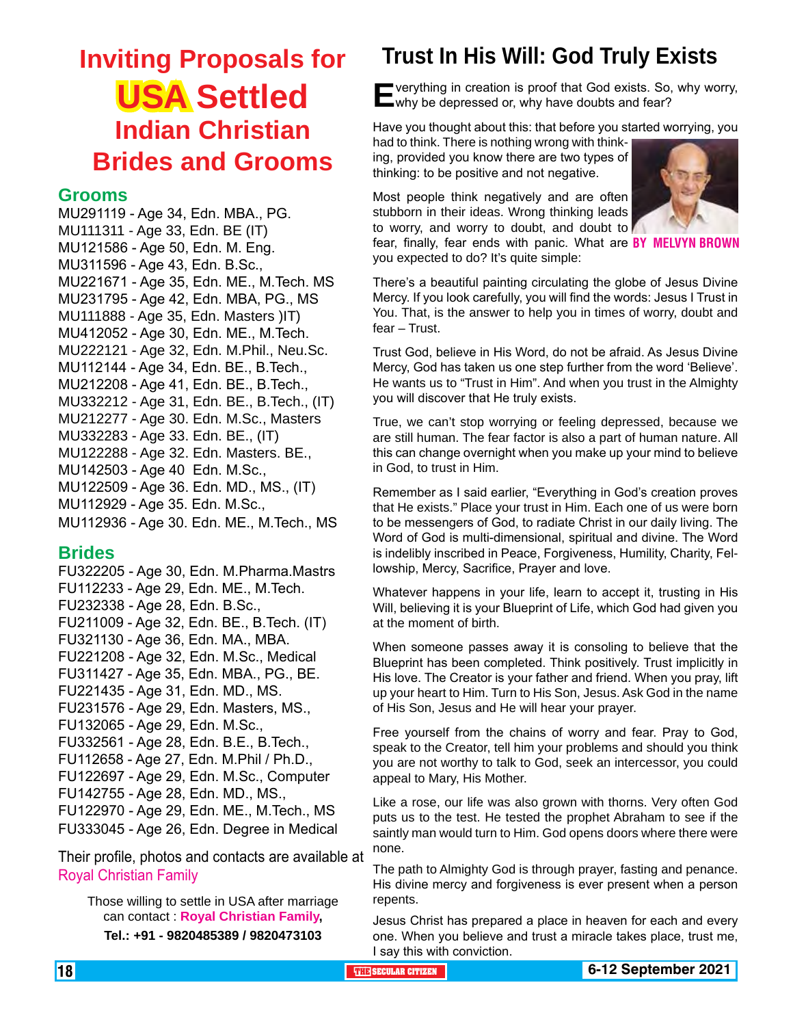# **Inviting Proposals for USA Settled Indian Christian Brides and Grooms**

#### **Grooms**

MU291119 - Age 34, Edn. MBA., PG. MU111311 - Age 33, Edn. BE (IT) MU121586 - Age 50, Edn. M. Eng. MU311596 - Age 43, Edn. B.Sc., MU221671 - Age 35, Edn. ME., M.Tech. MS MU231795 - Age 42, Edn. MBA, PG., MS MU111888 - Age 35, Edn. Masters )IT) MU412052 - Age 30, Edn. ME., M.Tech. MU222121 - Age 32, Edn. M.Phil., Neu.Sc. MU112144 - Age 34, Edn. BE., B.Tech., MU212208 - Age 41, Edn. BE., B.Tech., MU332212 - Age 31, Edn. BE., B.Tech., (IT) MU212277 - Age 30. Edn. M.Sc., Masters MU332283 - Age 33. Edn. BE., (IT) MU122288 - Age 32. Edn. Masters. BE., MU142503 - Age 40 Edn. M.Sc., MU122509 - Age 36. Edn. MD., MS., (IT) MU112929 - Age 35. Edn. M.Sc., MU112936 - Age 30. Edn. ME., M.Tech., MS

#### **Brides**

FU322205 - Age 30, Edn. M.Pharma.Mastrs FU112233 - Age 29, Edn. ME., M.Tech. FU232338 - Age 28, Edn. B.Sc., FU211009 - Age 32, Edn. BE., B.Tech. (IT) FU321130 - Age 36, Edn. MA., MBA. FU221208 - Age 32, Edn. M.Sc., Medical FU311427 - Age 35, Edn. MBA., PG., BE. FU221435 - Age 31, Edn. MD., MS. FU231576 - Age 29, Edn. Masters, MS., FU132065 - Age 29, Edn. M.Sc., FU332561 - Age 28, Edn. B.E., B.Tech., FU112658 - Age 27, Edn. M.Phil / Ph.D., FU122697 - Age 29, Edn. M.Sc., Computer FU142755 - Age 28, Edn. MD., MS., FU122970 - Age 29, Edn. ME., M.Tech., MS FU333045 - Age 26, Edn. Degree in Medical

Their profile, photos and contacts are available at Royal Christian Family

Those willing to settle in USA after marriage can contact : **Royal Christian Family, Tel.: +91 - 9820485389 / 9820473103**

### **Trust In His Will: God Truly Exists**

**E** verything in creation is proof that God exists. So, why worry,<br>
why be depressed or, why have doubts and fear?

Have you thought about this: that before you started worrying, you had to think. There is nothing wrong with think-

ing, provided you know there are two types of thinking: to be positive and not negative.

you expected to do? It's quite simple:

Most people think negatively and are often stubborn in their ideas. Wrong thinking leads to worry, and worry to doubt, and doubt to



fear, finally, fear ends with panic. What are **BY MELVYN BR** 

There's a beautiful painting circulating the globe of Jesus Divine Mercy. If you look carefully, you will find the words: Jesus I Trust in You. That, is the answer to help you in times of worry, doubt and fear – Trust.

Trust God, believe in His Word, do not be afraid. As Jesus Divine Mercy, God has taken us one step further from the word 'Believe'. He wants us to "Trust in Him". And when you trust in the Almighty you will discover that He truly exists.

True, we can't stop worrying or feeling depressed, because we are still human. The fear factor is also a part of human nature. All this can change overnight when you make up your mind to believe in God, to trust in Him.

Remember as I said earlier, "Everything in God's creation proves that He exists." Place your trust in Him. Each one of us were born to be messengers of God, to radiate Christ in our daily living. The Word of God is multi-dimensional, spiritual and divine. The Word is indelibly inscribed in Peace, Forgiveness, Humility, Charity, Fellowship, Mercy, Sacrifice, Prayer and love.

Whatever happens in your life, learn to accept it, trusting in His Will, believing it is your Blueprint of Life, which God had given you at the moment of birth.

When someone passes away it is consoling to believe that the Blueprint has been completed. Think positively. Trust implicitly in His love. The Creator is your father and friend. When you pray, lift up your heart to Him. Turn to His Son, Jesus. Ask God in the name of His Son, Jesus and He will hear your prayer.

Free yourself from the chains of worry and fear. Pray to God, speak to the Creator, tell him your problems and should you think you are not worthy to talk to God, seek an intercessor, you could appeal to Mary, His Mother.

Like a rose, our life was also grown with thorns. Very often God puts us to the test. He tested the prophet Abraham to see if the saintly man would turn to Him. God opens doors where there were none.

The path to Almighty God is through prayer, fasting and penance. His divine mercy and forgiveness is ever present when a person repents.

Jesus Christ has prepared a place in heaven for each and every one. When you believe and trust a miracle takes place, trust me, I say this with conviction.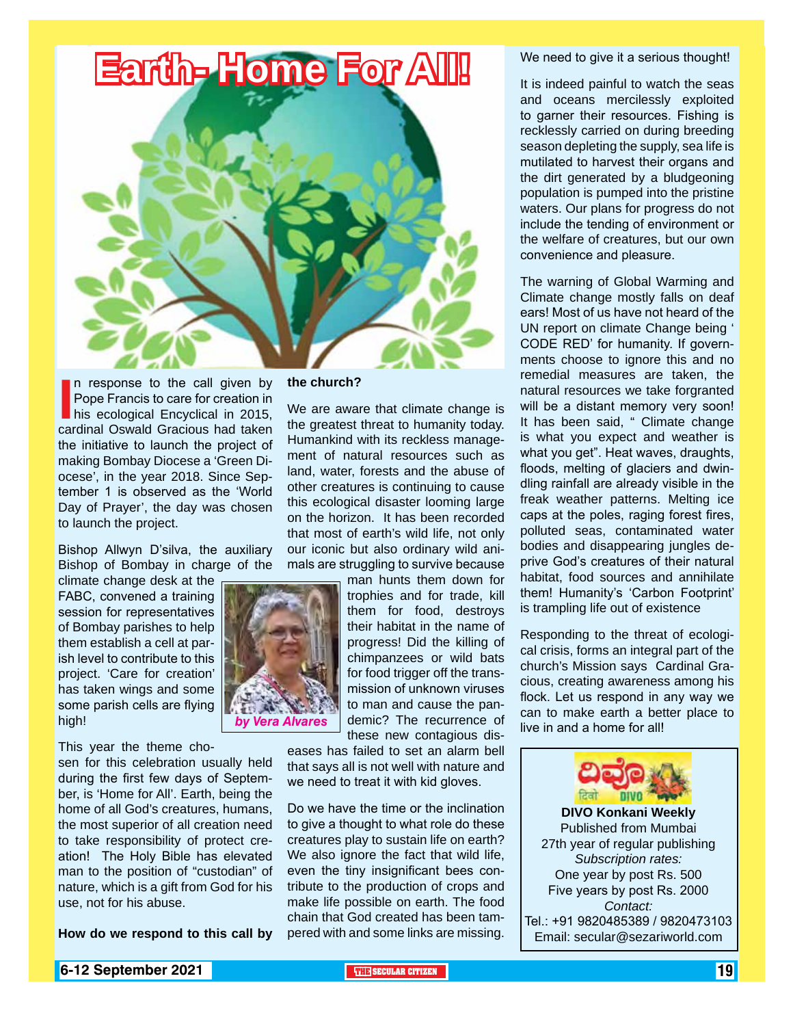

In response to the call given by<br>
Pope Francis to care for creation in<br>
his ecological Encyclical in 2015,<br>
cardinal Oswald Gracious had taken n response to the call given by Pope Francis to care for creation in his ecological Encyclical in 2015, the initiative to launch the project of making Bombay Diocese a 'Green Diocese', in the year 2018. Since September 1 is observed as the 'World Day of Prayer', the day was chosen to launch the project.

Bishop Allwyn D'silva, the auxiliary Bishop of Bombay in charge of the

climate change desk at the FABC, convened a training session for representatives of Bombay parishes to help them establish a cell at parish level to contribute to this project. 'Care for creation' has taken wings and some some parish cells are flying high!

This year the theme chosen for this celebration usually held during the first few days of September, is 'Home for All'. Earth, being the home of all God's creatures, humans, the most superior of all creation need to take responsibility of protect creation! The Holy Bible has elevated man to the position of "custodian" of nature, which is a gift from God for his use, not for his abuse.

**How do we respond to this call by** 

**the church?**

We are aware that climate change is the greatest threat to humanity today. Humankind with its reckless management of natural resources such as land, water, forests and the abuse of other creatures is continuing to cause this ecological disaster looming large on the horizon. It has been recorded that most of earth's wild life, not only our iconic but also ordinary wild animals are struggling to survive because

man hunts them down for trophies and for trade, kill them for food, destroys their habitat in the name of progress! Did the killing of chimpanzees or wild bats for food trigger off the transmission of unknown viruses to man and cause the pandemic? The recurrence of these new contagious dis**by Vera Alvares** demic? The recurrence of the mand a home for all!

> eases has failed to set an alarm bell that says all is not well with nature and we need to treat it with kid gloves.

> Do we have the time or the inclination to give a thought to what role do these creatures play to sustain life on earth? We also ignore the fact that wild life, even the tiny insignificant bees contribute to the production of crops and make life possible on earth. The food chain that God created has been tampered with and some links are missing.

We need to give it a serious thought!

It is indeed painful to watch the seas and oceans mercilessly exploited to garner their resources. Fishing is recklessly carried on during breeding season depleting the supply, sea life is mutilated to harvest their organs and the dirt generated by a bludgeoning population is pumped into the pristine waters. Our plans for progress do not include the tending of environment or the welfare of creatures, but our own convenience and pleasure.

The warning of Global Warming and Climate change mostly falls on deaf ears! Most of us have not heard of the UN report on climate Change being ' CODE RED' for humanity. If governments choose to ignore this and no remedial measures are taken, the natural resources we take forgranted will be a distant memory very soon! It has been said, " Climate change is what you expect and weather is what you get". Heat waves, draughts, floods, melting of glaciers and dwindling rainfall are already visible in the freak weather patterns. Melting ice caps at the poles, raging forest fires, polluted seas, contaminated water bodies and disappearing jungles deprive God's creatures of their natural habitat, food sources and annihilate them! Humanity's 'Carbon Footprint' is trampling life out of existence

Responding to the threat of ecological crisis, forms an integral part of the church's Mission says Cardinal Gracious, creating awareness among his flock. Let us respond in any way we can to make earth a better place to



Published from Mumbai 27th year of regular publishing *Subscription rates:* One year by post Rs. 500 Five years by post Rs. 2000 *Contact:*  Tel.: +91 9820485389 / 9820473103 Email: secular@sezariworld.com